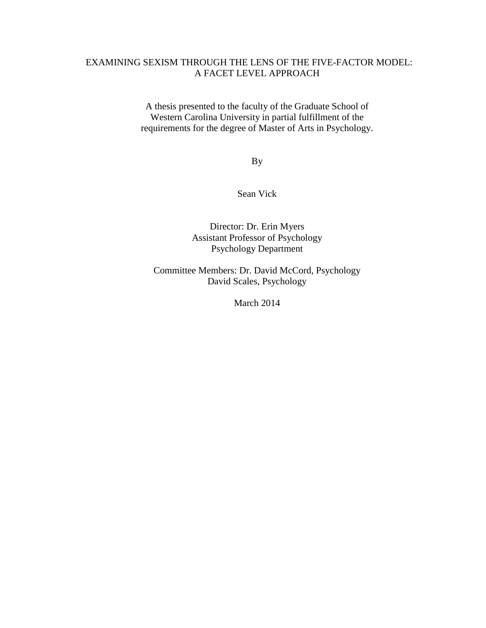# EXAMINING SEXISM THROUGH THE LENS OF THE FIVE-FACTOR MODEL: A FACET LEVEL APPROACH

A thesis presented to the faculty of the Graduate School of Western Carolina University in partial fulfillment of the requirements for the degree of Master of Arts in Psychology.

By

Sean Vick

Director: Dr. Erin Myers Assistant Professor of Psychology Psychology Department

Committee Members: Dr. David McCord, Psychology David Scales, Psychology

March 2014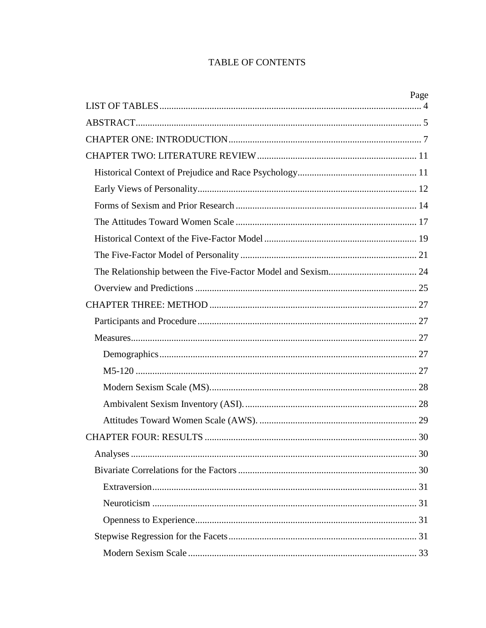# **TABLE OF CONTENTS**

| Page |
|------|
|      |
|      |
|      |
|      |
|      |
|      |
|      |
|      |
|      |
|      |
|      |
|      |
|      |
|      |
|      |
|      |
|      |
|      |
|      |
|      |
|      |
|      |
|      |
|      |
|      |
|      |
|      |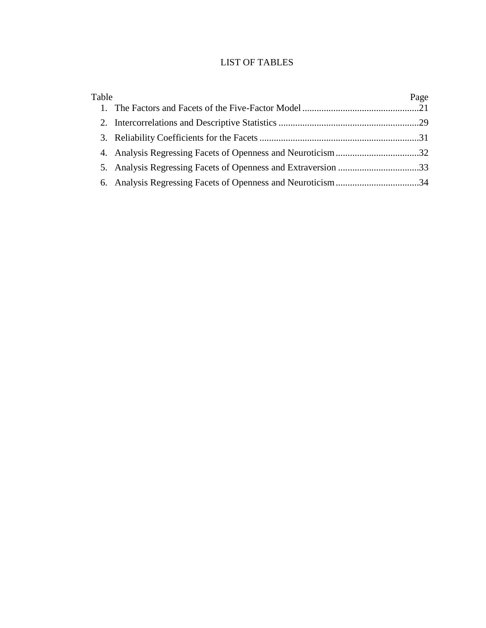# LIST OF TABLES

<span id="page-3-0"></span>

| Table | Page |
|-------|------|
|       |      |
|       |      |
|       |      |
|       |      |
|       |      |
|       |      |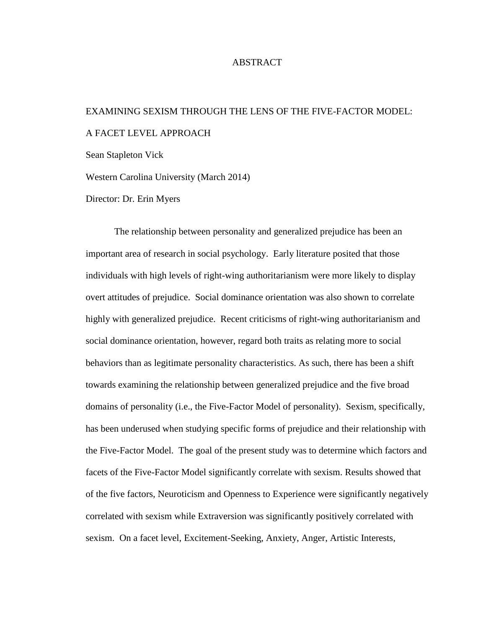## ABSTRACT

# <span id="page-4-0"></span>EXAMINING SEXISM THROUGH THE LENS OF THE FIVE-FACTOR MODEL: A FACET LEVEL APPROACH

Sean Stapleton Vick

Western Carolina University (March 2014)

Director: Dr. Erin Myers

The relationship between personality and generalized prejudice has been an important area of research in social psychology. Early literature posited that those individuals with high levels of right-wing authoritarianism were more likely to display overt attitudes of prejudice. Social dominance orientation was also shown to correlate highly with generalized prejudice. Recent criticisms of right-wing authoritarianism and social dominance orientation, however, regard both traits as relating more to social behaviors than as legitimate personality characteristics. As such, there has been a shift towards examining the relationship between generalized prejudice and the five broad domains of personality (i.e., the Five-Factor Model of personality). Sexism, specifically, has been underused when studying specific forms of prejudice and their relationship with the Five-Factor Model. The goal of the present study was to determine which factors and facets of the Five-Factor Model significantly correlate with sexism. Results showed that of the five factors, Neuroticism and Openness to Experience were significantly negatively correlated with sexism while Extraversion was significantly positively correlated with sexism. On a facet level, Excitement-Seeking, Anxiety, Anger, Artistic Interests,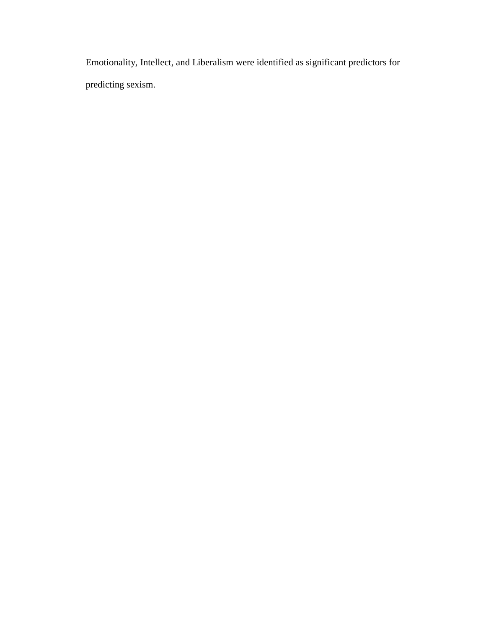Emotionality, Intellect, and Liberalism were identified as significant predictors for predicting sexism.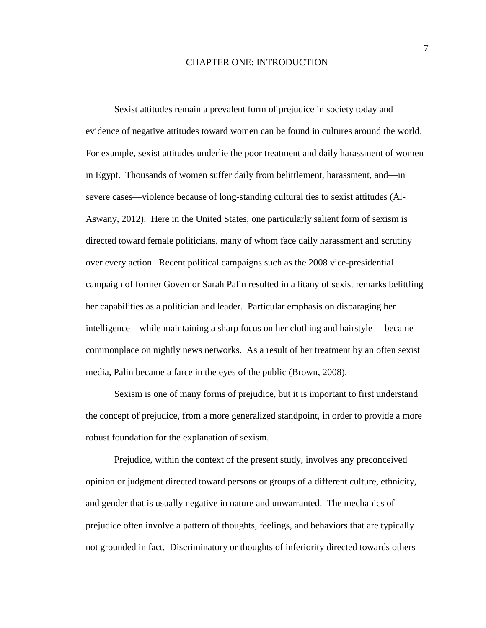#### CHAPTER ONE: INTRODUCTION

<span id="page-6-0"></span>Sexist attitudes remain a prevalent form of prejudice in society today and evidence of negative attitudes toward women can be found in cultures around the world. For example, sexist attitudes underlie the poor treatment and daily harassment of women in Egypt. Thousands of women suffer daily from belittlement, harassment, and—in severe cases—violence because of long-standing cultural ties to sexist attitudes (Al-Aswany, 2012). Here in the United States, one particularly salient form of sexism is directed toward female politicians, many of whom face daily harassment and scrutiny over every action. Recent political campaigns such as the 2008 vice-presidential campaign of former Governor Sarah Palin resulted in a litany of sexist remarks belittling her capabilities as a politician and leader. Particular emphasis on disparaging her intelligence—while maintaining a sharp focus on her clothing and hairstyle— became commonplace on nightly news networks. As a result of her treatment by an often sexist media, Palin became a farce in the eyes of the public (Brown, 2008).

Sexism is one of many forms of prejudice, but it is important to first understand the concept of prejudice, from a more generalized standpoint, in order to provide a more robust foundation for the explanation of sexism.

Prejudice, within the context of the present study, involves any preconceived opinion or judgment directed toward persons or groups of a different culture, ethnicity, and gender that is usually negative in nature and unwarranted. The mechanics of prejudice often involve a pattern of thoughts, feelings, and behaviors that are typically not grounded in fact. Discriminatory or thoughts of inferiority directed towards others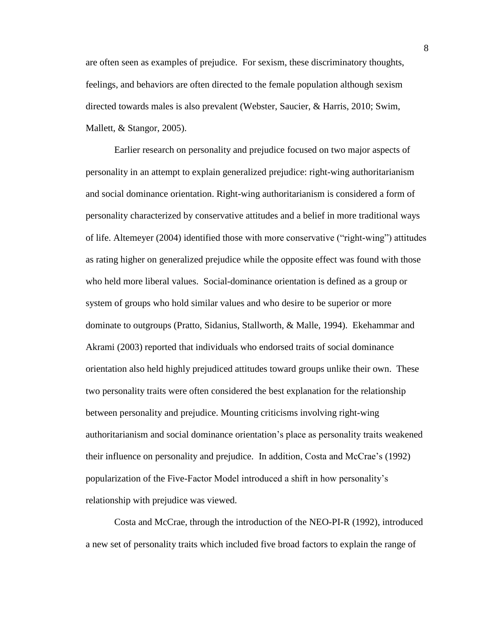are often seen as examples of prejudice. For sexism, these discriminatory thoughts, feelings, and behaviors are often directed to the female population although sexism directed towards males is also prevalent (Webster, Saucier, & Harris, 2010; Swim, Mallett, & Stangor, 2005).

Earlier research on personality and prejudice focused on two major aspects of personality in an attempt to explain generalized prejudice: right-wing authoritarianism and social dominance orientation. Right-wing authoritarianism is considered a form of personality characterized by conservative attitudes and a belief in more traditional ways of life. Altemeyer (2004) identified those with more conservative ("right-wing") attitudes as rating higher on generalized prejudice while the opposite effect was found with those who held more liberal values. Social-dominance orientation is defined as a group or system of groups who hold similar values and who desire to be superior or more dominate to outgroups (Pratto, Sidanius, Stallworth, & Malle, 1994). Ekehammar and Akrami (2003) reported that individuals who endorsed traits of social dominance orientation also held highly prejudiced attitudes toward groups unlike their own. These two personality traits were often considered the best explanation for the relationship between personality and prejudice. Mounting criticisms involving right-wing authoritarianism and social dominance orientation's place as personality traits weakened their influence on personality and prejudice. In addition, Costa and McCrae's (1992) popularization of the Five-Factor Model introduced a shift in how personality's relationship with prejudice was viewed.

Costa and McCrae, through the introduction of the NEO-PI-R (1992), introduced a new set of personality traits which included five broad factors to explain the range of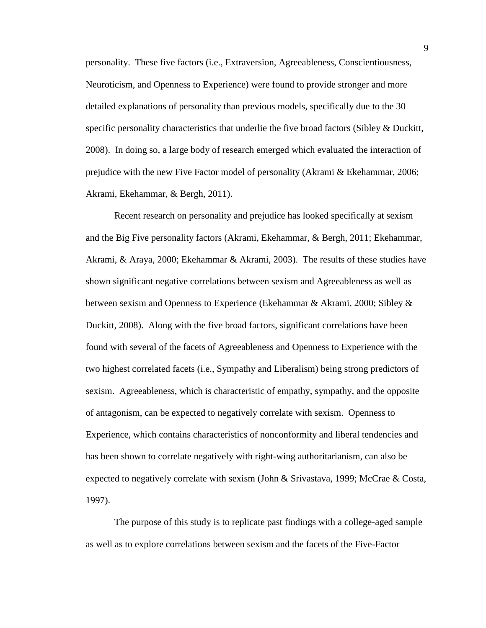personality. These five factors (i.e., Extraversion, Agreeableness, Conscientiousness, Neuroticism, and Openness to Experience) were found to provide stronger and more detailed explanations of personality than previous models, specifically due to the 30 specific personality characteristics that underlie the five broad factors (Sibley & Duckitt, 2008). In doing so, a large body of research emerged which evaluated the interaction of prejudice with the new Five Factor model of personality (Akrami & Ekehammar, 2006; Akrami, Ekehammar, & Bergh, 2011).

Recent research on personality and prejudice has looked specifically at sexism and the Big Five personality factors (Akrami, Ekehammar, & Bergh, 2011; Ekehammar, Akrami, & Araya, 2000; Ekehammar & Akrami, 2003). The results of these studies have shown significant negative correlations between sexism and Agreeableness as well as between sexism and Openness to Experience (Ekehammar & Akrami, 2000; Sibley & Duckitt, 2008). Along with the five broad factors, significant correlations have been found with several of the facets of Agreeableness and Openness to Experience with the two highest correlated facets (i.e., Sympathy and Liberalism) being strong predictors of sexism. Agreeableness, which is characteristic of empathy, sympathy, and the opposite of antagonism, can be expected to negatively correlate with sexism. Openness to Experience, which contains characteristics of nonconformity and liberal tendencies and has been shown to correlate negatively with right-wing authoritarianism, can also be expected to negatively correlate with sexism (John & Srivastava, 1999; McCrae & Costa, 1997).

The purpose of this study is to replicate past findings with a college-aged sample as well as to explore correlations between sexism and the facets of the Five-Factor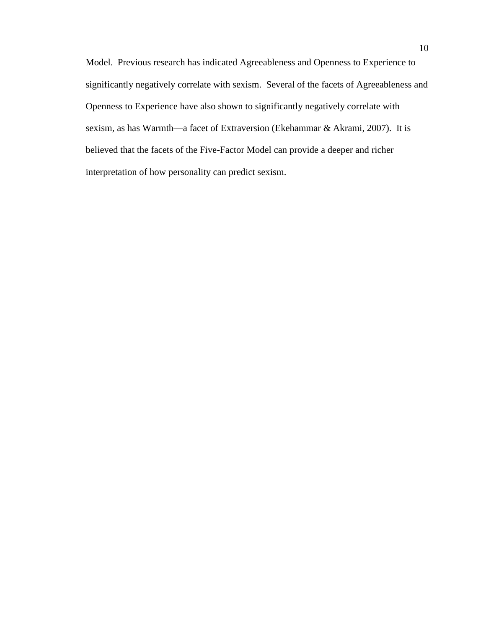Model. Previous research has indicated Agreeableness and Openness to Experience to significantly negatively correlate with sexism. Several of the facets of Agreeableness and Openness to Experience have also shown to significantly negatively correlate with sexism, as has Warmth—a facet of Extraversion (Ekehammar & Akrami, 2007). It is believed that the facets of the Five-Factor Model can provide a deeper and richer interpretation of how personality can predict sexism.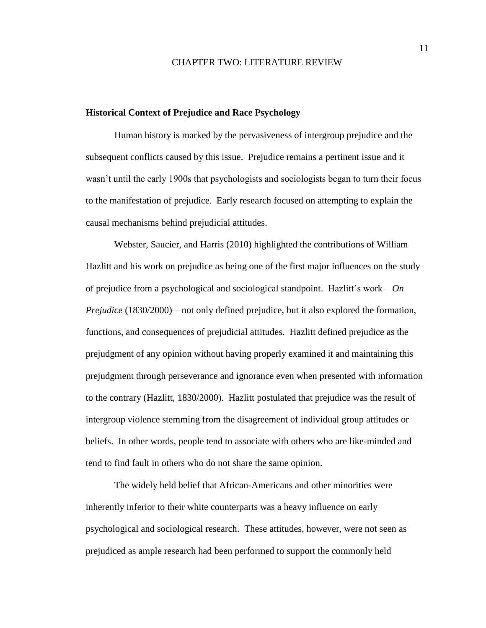#### CHAPTER TWO: LITERATURE REVIEW

#### <span id="page-10-1"></span><span id="page-10-0"></span>**Historical Context of Prejudice and Race Psychology**

Human history is marked by the pervasiveness of intergroup prejudice and the subsequent conflicts caused by this issue. Prejudice remains a pertinent issue and it wasn't until the early 1900s that psychologists and sociologists began to turn their focus to the manifestation of prejudice. Early research focused on attempting to explain the causal mechanisms behind prejudicial attitudes.

Webster, Saucier, and Harris (2010) highlighted the contributions of William Hazlitt and his work on prejudice as being one of the first major influences on the study of prejudice from a psychological and sociological standpoint. Hazlitt's work—*On Prejudice* (1830/2000)—not only defined prejudice, but it also explored the formation, functions, and consequences of prejudicial attitudes. Hazlitt defined prejudice as the prejudgment of any opinion without having properly examined it and maintaining this prejudgment through perseverance and ignorance even when presented with information to the contrary (Hazlitt, 1830/2000). Hazlitt postulated that prejudice was the result of intergroup violence stemming from the disagreement of individual group attitudes or beliefs. In other words, people tend to associate with others who are like-minded and tend to find fault in others who do not share the same opinion.

The widely held belief that African-Americans and other minorities were inherently inferior to their white counterparts was a heavy influence on early psychological and sociological research. These attitudes, however, were not seen as prejudiced as ample research had been performed to support the commonly held

11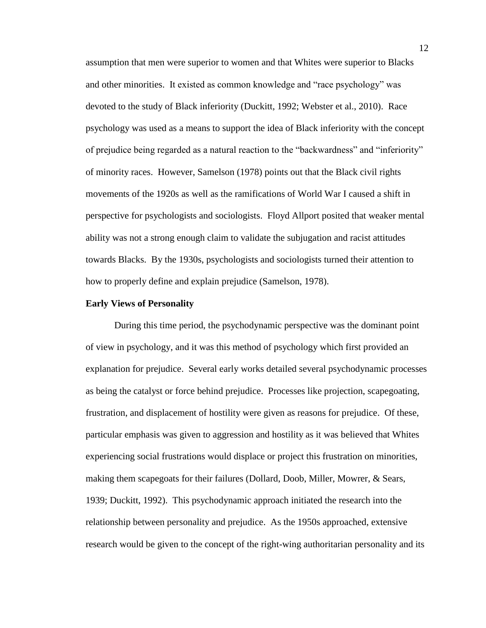assumption that men were superior to women and that Whites were superior to Blacks and other minorities. It existed as common knowledge and "race psychology" was devoted to the study of Black inferiority (Duckitt, 1992; Webster et al., 2010). Race psychology was used as a means to support the idea of Black inferiority with the concept of prejudice being regarded as a natural reaction to the "backwardness" and "inferiority" of minority races. However, Samelson (1978) points out that the Black civil rights movements of the 1920s as well as the ramifications of World War I caused a shift in perspective for psychologists and sociologists. Floyd Allport posited that weaker mental ability was not a strong enough claim to validate the subjugation and racist attitudes towards Blacks. By the 1930s, psychologists and sociologists turned their attention to how to properly define and explain prejudice (Samelson, 1978).

#### <span id="page-11-0"></span>**Early Views of Personality**

During this time period, the psychodynamic perspective was the dominant point of view in psychology, and it was this method of psychology which first provided an explanation for prejudice. Several early works detailed several psychodynamic processes as being the catalyst or force behind prejudice. Processes like projection, scapegoating, frustration, and displacement of hostility were given as reasons for prejudice. Of these, particular emphasis was given to aggression and hostility as it was believed that Whites experiencing social frustrations would displace or project this frustration on minorities, making them scapegoats for their failures (Dollard, Doob, Miller, Mowrer, & Sears, 1939; Duckitt, 1992). This psychodynamic approach initiated the research into the relationship between personality and prejudice. As the 1950s approached, extensive research would be given to the concept of the right-wing authoritarian personality and its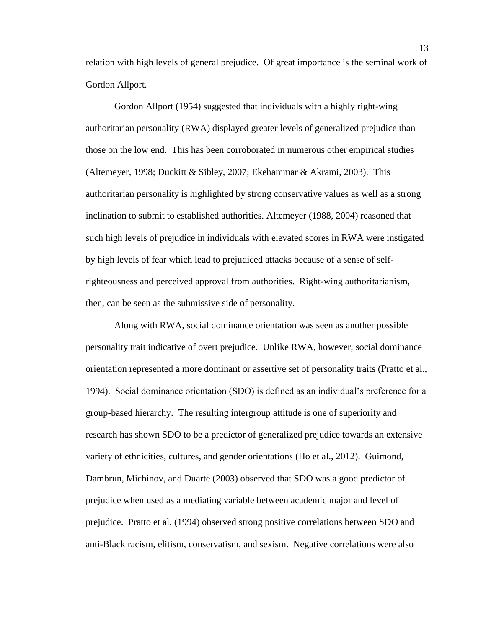relation with high levels of general prejudice. Of great importance is the seminal work of Gordon Allport.

Gordon Allport (1954) suggested that individuals with a highly right-wing authoritarian personality (RWA) displayed greater levels of generalized prejudice than those on the low end. This has been corroborated in numerous other empirical studies (Altemeyer, 1998; Duckitt & Sibley, 2007; Ekehammar & Akrami, 2003). This authoritarian personality is highlighted by strong conservative values as well as a strong inclination to submit to established authorities. Altemeyer (1988, 2004) reasoned that such high levels of prejudice in individuals with elevated scores in RWA were instigated by high levels of fear which lead to prejudiced attacks because of a sense of selfrighteousness and perceived approval from authorities. Right-wing authoritarianism, then, can be seen as the submissive side of personality.

Along with RWA, social dominance orientation was seen as another possible personality trait indicative of overt prejudice. Unlike RWA, however, social dominance orientation represented a more dominant or assertive set of personality traits (Pratto et al., 1994). Social dominance orientation (SDO) is defined as an individual's preference for a group-based hierarchy. The resulting intergroup attitude is one of superiority and research has shown SDO to be a predictor of generalized prejudice towards an extensive variety of ethnicities, cultures, and gender orientations (Ho et al., 2012). Guimond, Dambrun, Michinov, and Duarte (2003) observed that SDO was a good predictor of prejudice when used as a mediating variable between academic major and level of prejudice. Pratto et al. (1994) observed strong positive correlations between SDO and anti-Black racism, elitism, conservatism, and sexism. Negative correlations were also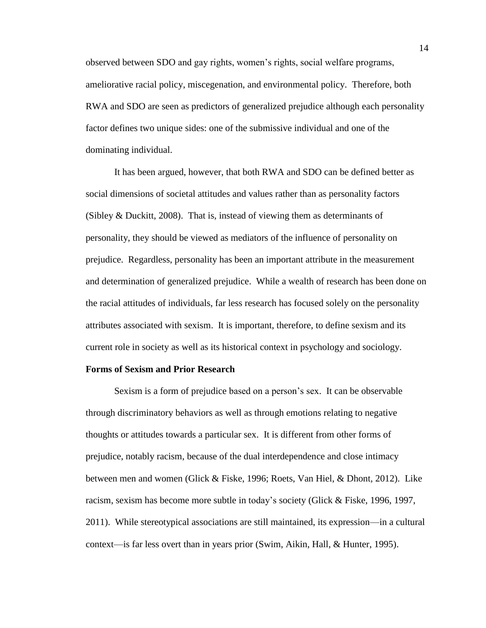observed between SDO and gay rights, women's rights, social welfare programs, ameliorative racial policy, miscegenation, and environmental policy. Therefore, both RWA and SDO are seen as predictors of generalized prejudice although each personality factor defines two unique sides: one of the submissive individual and one of the dominating individual.

It has been argued, however, that both RWA and SDO can be defined better as social dimensions of societal attitudes and values rather than as personality factors (Sibley & Duckitt, 2008). That is, instead of viewing them as determinants of personality, they should be viewed as mediators of the influence of personality on prejudice. Regardless, personality has been an important attribute in the measurement and determination of generalized prejudice. While a wealth of research has been done on the racial attitudes of individuals, far less research has focused solely on the personality attributes associated with sexism. It is important, therefore, to define sexism and its current role in society as well as its historical context in psychology and sociology.

#### <span id="page-13-0"></span>**Forms of Sexism and Prior Research**

Sexism is a form of prejudice based on a person's sex. It can be observable through discriminatory behaviors as well as through emotions relating to negative thoughts or attitudes towards a particular sex. It is different from other forms of prejudice, notably racism, because of the dual interdependence and close intimacy between men and women (Glick & Fiske, 1996; Roets, Van Hiel, & Dhont, 2012). Like racism, sexism has become more subtle in today's society (Glick & Fiske, 1996, 1997, 2011). While stereotypical associations are still maintained, its expression—in a cultural context—is far less overt than in years prior (Swim, Aikin, Hall, & Hunter, 1995).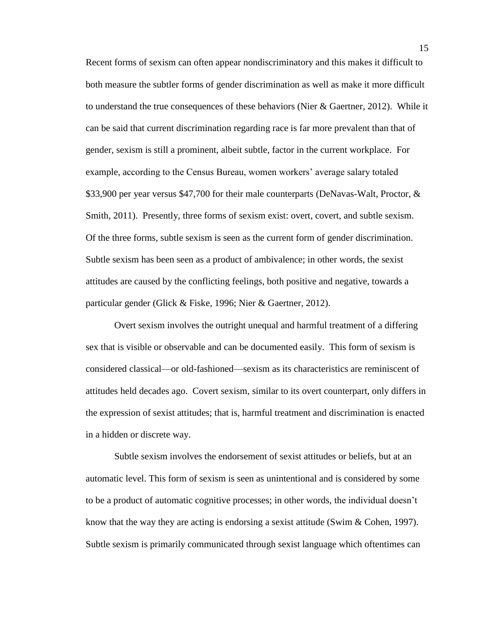Recent forms of sexism can often appear nondiscriminatory and this makes it difficult to both measure the subtler forms of gender discrimination as well as make it more difficult to understand the true consequences of these behaviors (Nier & Gaertner, 2012). While it can be said that current discrimination regarding race is far more prevalent than that of gender, sexism is still a prominent, albeit subtle, factor in the current workplace. For example, according to the Census Bureau, women workers' average salary totaled \$33,900 per year versus \$47,700 for their male counterparts (DeNavas-Walt, Proctor, & Smith, 2011). Presently, three forms of sexism exist: overt, covert, and subtle sexism. Of the three forms, subtle sexism is seen as the current form of gender discrimination. Subtle sexism has been seen as a product of ambivalence; in other words, the sexist attitudes are caused by the conflicting feelings, both positive and negative, towards a particular gender (Glick & Fiske, 1996; Nier & Gaertner, 2012).

Overt sexism involves the outright unequal and harmful treatment of a differing sex that is visible or observable and can be documented easily. This form of sexism is considered classical—or old-fashioned—sexism as its characteristics are reminiscent of attitudes held decades ago. Covert sexism, similar to its overt counterpart, only differs in the expression of sexist attitudes; that is, harmful treatment and discrimination is enacted in a hidden or discrete way.

Subtle sexism involves the endorsement of sexist attitudes or beliefs, but at an automatic level. This form of sexism is seen as unintentional and is considered by some to be a product of automatic cognitive processes; in other words, the individual doesn't know that the way they are acting is endorsing a sexist attitude (Swim & Cohen, 1997). Subtle sexism is primarily communicated through sexist language which oftentimes can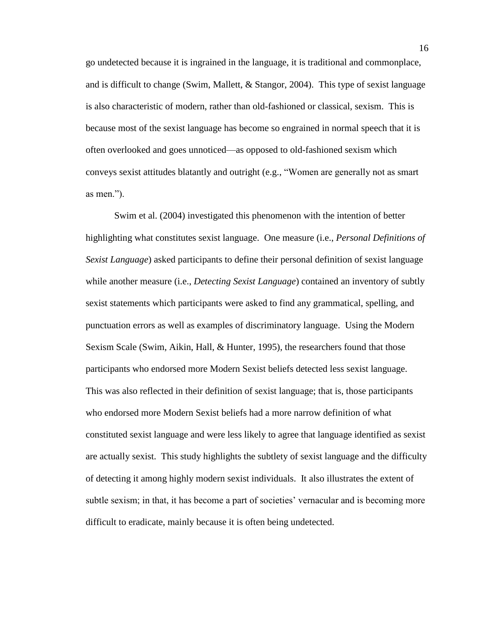go undetected because it is ingrained in the language, it is traditional and commonplace, and is difficult to change (Swim, Mallett, & Stangor, 2004). This type of sexist language is also characteristic of modern, rather than old-fashioned or classical, sexism. This is because most of the sexist language has become so engrained in normal speech that it is often overlooked and goes unnoticed—as opposed to old-fashioned sexism which conveys sexist attitudes blatantly and outright (e.g., "Women are generally not as smart as men.").

Swim et al. (2004) investigated this phenomenon with the intention of better highlighting what constitutes sexist language. One measure (i.e., *Personal Definitions of Sexist Language*) asked participants to define their personal definition of sexist language while another measure (i.e., *Detecting Sexist Language*) contained an inventory of subtly sexist statements which participants were asked to find any grammatical, spelling, and punctuation errors as well as examples of discriminatory language. Using the Modern Sexism Scale (Swim, Aikin, Hall, & Hunter, 1995), the researchers found that those participants who endorsed more Modern Sexist beliefs detected less sexist language. This was also reflected in their definition of sexist language; that is, those participants who endorsed more Modern Sexist beliefs had a more narrow definition of what constituted sexist language and were less likely to agree that language identified as sexist are actually sexist. This study highlights the subtlety of sexist language and the difficulty of detecting it among highly modern sexist individuals. It also illustrates the extent of subtle sexism; in that, it has become a part of societies' vernacular and is becoming more difficult to eradicate, mainly because it is often being undetected.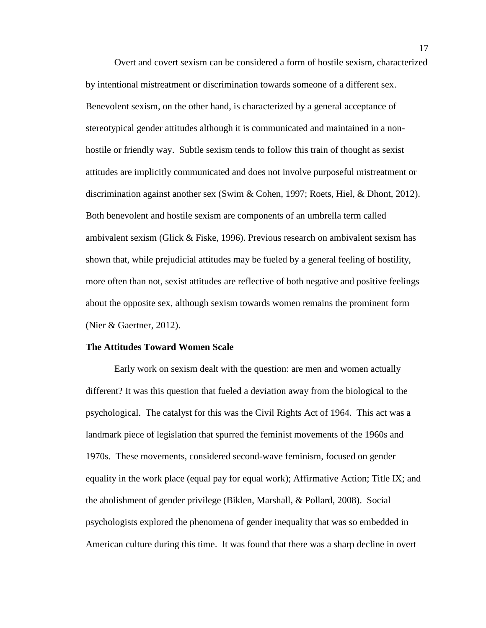Overt and covert sexism can be considered a form of hostile sexism, characterized by intentional mistreatment or discrimination towards someone of a different sex. Benevolent sexism, on the other hand, is characterized by a general acceptance of stereotypical gender attitudes although it is communicated and maintained in a nonhostile or friendly way. Subtle sexism tends to follow this train of thought as sexist attitudes are implicitly communicated and does not involve purposeful mistreatment or discrimination against another sex (Swim & Cohen, 1997; Roets, Hiel, & Dhont, 2012). Both benevolent and hostile sexism are components of an umbrella term called ambivalent sexism (Glick & Fiske, 1996). Previous research on ambivalent sexism has shown that, while prejudicial attitudes may be fueled by a general feeling of hostility, more often than not, sexist attitudes are reflective of both negative and positive feelings about the opposite sex, although sexism towards women remains the prominent form (Nier & Gaertner, 2012).

## <span id="page-16-0"></span>**The Attitudes Toward Women Scale**

Early work on sexism dealt with the question: are men and women actually different? It was this question that fueled a deviation away from the biological to the psychological. The catalyst for this was the Civil Rights Act of 1964. This act was a landmark piece of legislation that spurred the feminist movements of the 1960s and 1970s. These movements, considered second-wave feminism, focused on gender equality in the work place (equal pay for equal work); Affirmative Action; Title IX; and the abolishment of gender privilege (Biklen, Marshall, & Pollard, 2008). Social psychologists explored the phenomena of gender inequality that was so embedded in American culture during this time. It was found that there was a sharp decline in overt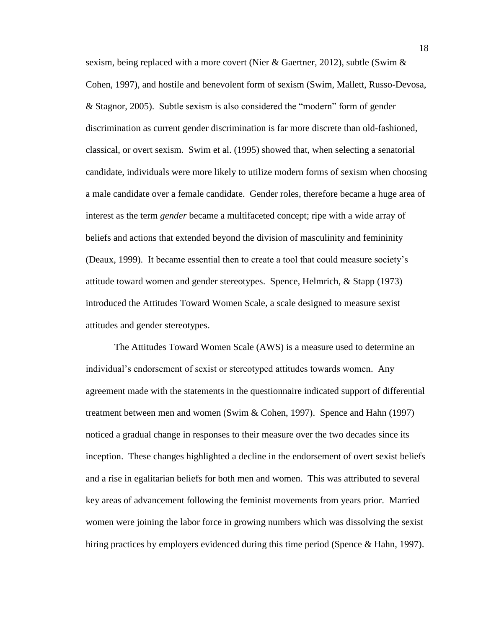sexism, being replaced with a more covert (Nier & Gaertner, 2012), subtle (Swim & Cohen, 1997), and hostile and benevolent form of sexism (Swim, Mallett, Russo-Devosa, & Stagnor, 2005). Subtle sexism is also considered the "modern" form of gender discrimination as current gender discrimination is far more discrete than old-fashioned, classical, or overt sexism. Swim et al. (1995) showed that, when selecting a senatorial candidate, individuals were more likely to utilize modern forms of sexism when choosing a male candidate over a female candidate. Gender roles, therefore became a huge area of interest as the term *gender* became a multifaceted concept; ripe with a wide array of beliefs and actions that extended beyond the division of masculinity and femininity (Deaux, 1999). It became essential then to create a tool that could measure society's attitude toward women and gender stereotypes. Spence, Helmrich, & Stapp (1973) introduced the Attitudes Toward Women Scale, a scale designed to measure sexist attitudes and gender stereotypes.

The Attitudes Toward Women Scale (AWS) is a measure used to determine an individual's endorsement of sexist or stereotyped attitudes towards women. Any agreement made with the statements in the questionnaire indicated support of differential treatment between men and women (Swim & Cohen, 1997). Spence and Hahn (1997) noticed a gradual change in responses to their measure over the two decades since its inception. These changes highlighted a decline in the endorsement of overt sexist beliefs and a rise in egalitarian beliefs for both men and women. This was attributed to several key areas of advancement following the feminist movements from years prior. Married women were joining the labor force in growing numbers which was dissolving the sexist hiring practices by employers evidenced during this time period (Spence & Hahn, 1997).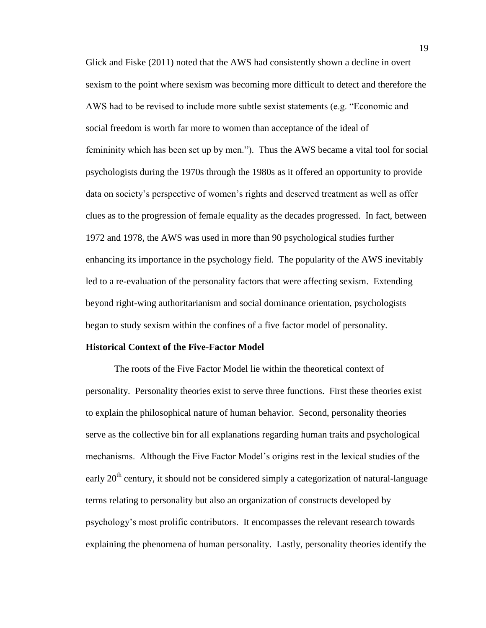Glick and Fiske (2011) noted that the AWS had consistently shown a decline in overt sexism to the point where sexism was becoming more difficult to detect and therefore the AWS had to be revised to include more subtle sexist statements (e.g. "Economic and social freedom is worth far more to women than acceptance of the ideal of femininity which has been set up by men."). Thus the AWS became a vital tool for social psychologists during the 1970s through the 1980s as it offered an opportunity to provide data on society's perspective of women's rights and deserved treatment as well as offer clues as to the progression of female equality as the decades progressed. In fact, between 1972 and 1978, the AWS was used in more than 90 psychological studies further enhancing its importance in the psychology field. The popularity of the AWS inevitably led to a re-evaluation of the personality factors that were affecting sexism. Extending beyond right-wing authoritarianism and social dominance orientation, psychologists began to study sexism within the confines of a five factor model of personality.

#### <span id="page-18-0"></span>**Historical Context of the Five-Factor Model**

The roots of the Five Factor Model lie within the theoretical context of personality. Personality theories exist to serve three functions. First these theories exist to explain the philosophical nature of human behavior. Second, personality theories serve as the collective bin for all explanations regarding human traits and psychological mechanisms. Although the Five Factor Model's origins rest in the lexical studies of the early  $20<sup>th</sup>$  century, it should not be considered simply a categorization of natural-language terms relating to personality but also an organization of constructs developed by psychology's most prolific contributors. It encompasses the relevant research towards explaining the phenomena of human personality. Lastly, personality theories identify the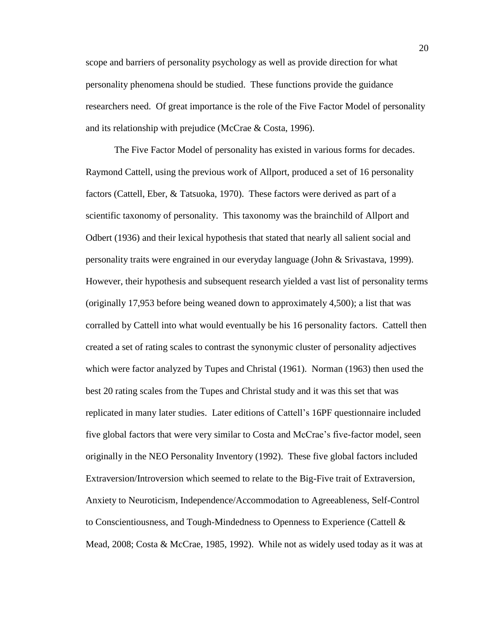scope and barriers of personality psychology as well as provide direction for what personality phenomena should be studied. These functions provide the guidance researchers need. Of great importance is the role of the Five Factor Model of personality and its relationship with prejudice (McCrae & Costa, 1996).

The Five Factor Model of personality has existed in various forms for decades. Raymond Cattell, using the previous work of Allport, produced a set of 16 personality factors (Cattell, Eber, & Tatsuoka, 1970). These factors were derived as part of a scientific taxonomy of personality. This taxonomy was the brainchild of Allport and Odbert (1936) and their lexical hypothesis that stated that nearly all salient social and personality traits were engrained in our everyday language (John & Srivastava, 1999). However, their hypothesis and subsequent research yielded a vast list of personality terms (originally 17,953 before being weaned down to approximately 4,500); a list that was corralled by Cattell into what would eventually be his 16 personality factors. Cattell then created a set of rating scales to contrast the synonymic cluster of personality adjectives which were factor analyzed by Tupes and Christal (1961). Norman (1963) then used the best 20 rating scales from the Tupes and Christal study and it was this set that was replicated in many later studies. Later editions of Cattell's 16PF questionnaire included five global factors that were very similar to Costa and McCrae's five-factor model, seen originally in the NEO Personality Inventory (1992). These five global factors included Extraversion/Introversion which seemed to relate to the Big-Five trait of Extraversion, Anxiety to Neuroticism, Independence/Accommodation to Agreeableness, Self-Control to Conscientiousness, and Tough-Mindedness to Openness to Experience (Cattell  $\&$ Mead, 2008; Costa & McCrae, 1985, 1992). While not as widely used today as it was at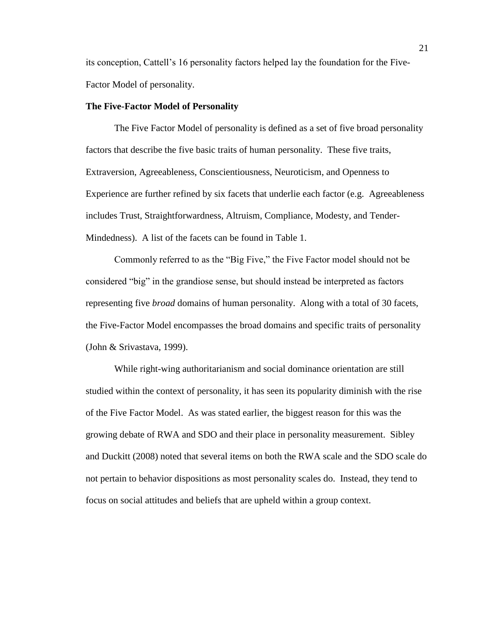its conception, Cattell's 16 personality factors helped lay the foundation for the Five-Factor Model of personality.

#### <span id="page-20-0"></span>**The Five-Factor Model of Personality**

The Five Factor Model of personality is defined as a set of five broad personality factors that describe the five basic traits of human personality. These five traits, Extraversion, Agreeableness, Conscientiousness, Neuroticism, and Openness to Experience are further refined by six facets that underlie each factor (e.g. Agreeableness includes Trust, Straightforwardness, Altruism, Compliance, Modesty, and Tender-Mindedness). A list of the facets can be found in Table 1.

Commonly referred to as the "Big Five," the Five Factor model should not be considered "big" in the grandiose sense, but should instead be interpreted as factors representing five *broad* domains of human personality. Along with a total of 30 facets, the Five-Factor Model encompasses the broad domains and specific traits of personality (John & Srivastava, 1999).

While right-wing authoritarianism and social dominance orientation are still studied within the context of personality, it has seen its popularity diminish with the rise of the Five Factor Model. As was stated earlier, the biggest reason for this was the growing debate of RWA and SDO and their place in personality measurement. Sibley and Duckitt (2008) noted that several items on both the RWA scale and the SDO scale do not pertain to behavior dispositions as most personality scales do. Instead, they tend to focus on social attitudes and beliefs that are upheld within a group context.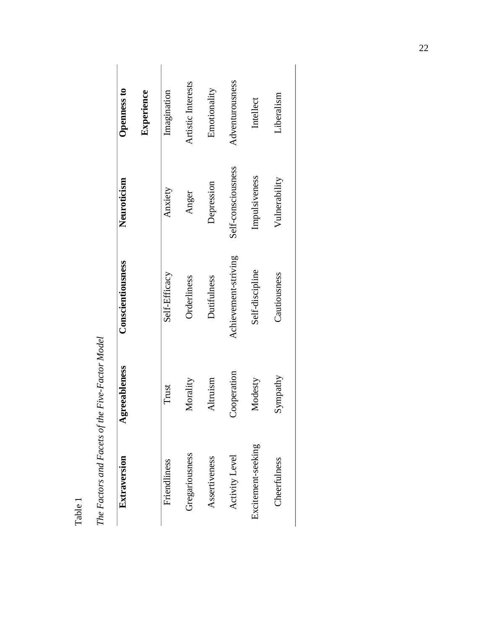| Openness to       | Experience | Imagination   | Artistic Interests | Emotionality  | Adventurousness      | Intellect          | Liberalism    |
|-------------------|------------|---------------|--------------------|---------------|----------------------|--------------------|---------------|
| Neuroticism       |            | Anxiety       | Anger              | Depression    | Self-consciousness   | Impulsiveness      | Vulnerability |
| Conscientiousness |            | Self-Efficacy | Orderliness        | Dutifulness   | Achievement-striving | Self-discipline    | Cautiousness  |
| greeableness      |            | Trust         | Morality           | Altruism      | Cooperation          | Modesty            | Sympathy      |
| Extraversion      |            | Friendliness  | Gregariousness     | Assertiveness | Activity Level       | Excitement-seeking | Cheerfulness  |

The Factors and Facets of the Five-Factor Model *The Factors and Facets of the Five-Factor Model*

Table 1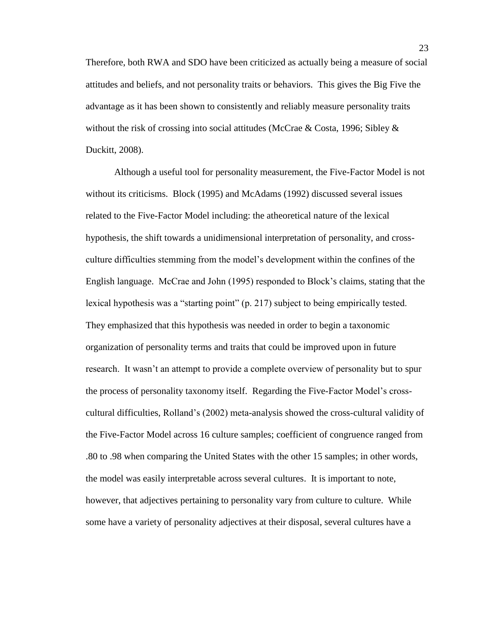Therefore, both RWA and SDO have been criticized as actually being a measure of social attitudes and beliefs, and not personality traits or behaviors. This gives the Big Five the advantage as it has been shown to consistently and reliably measure personality traits without the risk of crossing into social attitudes (McCrae & Costa, 1996; Sibley & Duckitt, 2008).

Although a useful tool for personality measurement, the Five-Factor Model is not without its criticisms. Block (1995) and McAdams (1992) discussed several issues related to the Five-Factor Model including: the atheoretical nature of the lexical hypothesis, the shift towards a unidimensional interpretation of personality, and crossculture difficulties stemming from the model's development within the confines of the English language. McCrae and John (1995) responded to Block's claims, stating that the lexical hypothesis was a "starting point" (p. 217) subject to being empirically tested. They emphasized that this hypothesis was needed in order to begin a taxonomic organization of personality terms and traits that could be improved upon in future research. It wasn't an attempt to provide a complete overview of personality but to spur the process of personality taxonomy itself. Regarding the Five-Factor Model's crosscultural difficulties, Rolland's (2002) meta-analysis showed the cross-cultural validity of the Five-Factor Model across 16 culture samples; coefficient of congruence ranged from .80 to .98 when comparing the United States with the other 15 samples; in other words, the model was easily interpretable across several cultures. It is important to note, however, that adjectives pertaining to personality vary from culture to culture. While some have a variety of personality adjectives at their disposal, several cultures have a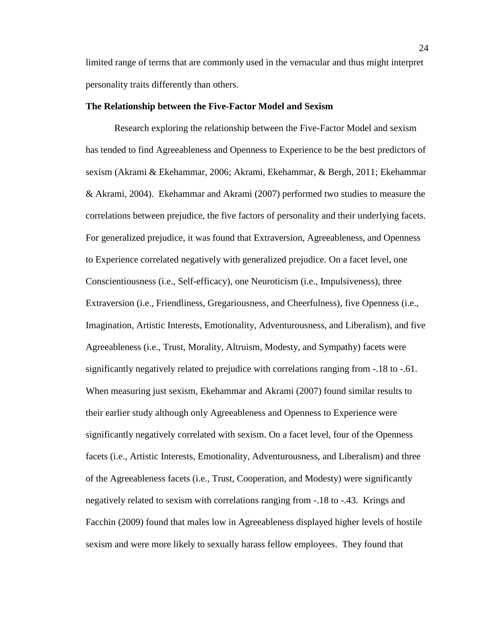limited range of terms that are commonly used in the vernacular and thus might interpret personality traits differently than others.

#### <span id="page-23-0"></span>**The Relationship between the Five-Factor Model and Sexism**

Research exploring the relationship between the Five-Factor Model and sexism has tended to find Agreeableness and Openness to Experience to be the best predictors of sexism (Akrami & Ekehammar, 2006; Akrami, Ekehammar, & Bergh, 2011; Ekehammar & Akrami, 2004). Ekehammar and Akrami (2007) performed two studies to measure the correlations between prejudice, the five factors of personality and their underlying facets. For generalized prejudice, it was found that Extraversion, Agreeableness, and Openness to Experience correlated negatively with generalized prejudice. On a facet level, one Conscientiousness (i.e., Self-efficacy), one Neuroticism (i.e., Impulsiveness), three Extraversion (i.e., Friendliness, Gregariousness, and Cheerfulness), five Openness (i.e., Imagination, Artistic Interests, Emotionality, Adventurousness, and Liberalism), and five Agreeableness (i.e., Trust, Morality, Altruism, Modesty, and Sympathy) facets were significantly negatively related to prejudice with correlations ranging from -.18 to -.61. When measuring just sexism, Ekehammar and Akrami (2007) found similar results to their earlier study although only Agreeableness and Openness to Experience were significantly negatively correlated with sexism. On a facet level, four of the Openness facets (i.e., Artistic Interests, Emotionality, Adventurousness, and Liberalism) and three of the Agreeableness facets (i.e., Trust, Cooperation, and Modesty) were significantly negatively related to sexism with correlations ranging from -.18 to -.43. Krings and Facchin (2009) found that males low in Agreeableness displayed higher levels of hostile sexism and were more likely to sexually harass fellow employees. They found that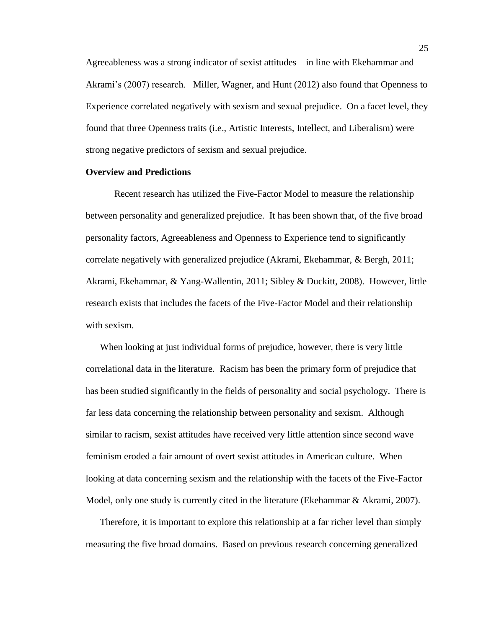Agreeableness was a strong indicator of sexist attitudes—in line with Ekehammar and Akrami's (2007) research. Miller, Wagner, and Hunt (2012) also found that Openness to Experience correlated negatively with sexism and sexual prejudice. On a facet level, they found that three Openness traits (i.e., Artistic Interests, Intellect, and Liberalism) were strong negative predictors of sexism and sexual prejudice.

#### <span id="page-24-0"></span>**Overview and Predictions**

Recent research has utilized the Five-Factor Model to measure the relationship between personality and generalized prejudice. It has been shown that, of the five broad personality factors, Agreeableness and Openness to Experience tend to significantly correlate negatively with generalized prejudice (Akrami, Ekehammar, & Bergh, 2011; Akrami, Ekehammar, & Yang-Wallentin, 2011; Sibley & Duckitt, 2008). However, little research exists that includes the facets of the Five-Factor Model and their relationship with sexism.

When looking at just individual forms of prejudice, however, there is very little correlational data in the literature. Racism has been the primary form of prejudice that has been studied significantly in the fields of personality and social psychology. There is far less data concerning the relationship between personality and sexism. Although similar to racism, sexist attitudes have received very little attention since second wave feminism eroded a fair amount of overt sexist attitudes in American culture. When looking at data concerning sexism and the relationship with the facets of the Five-Factor Model, only one study is currently cited in the literature (Ekehammar & Akrami, 2007).

Therefore, it is important to explore this relationship at a far richer level than simply measuring the five broad domains. Based on previous research concerning generalized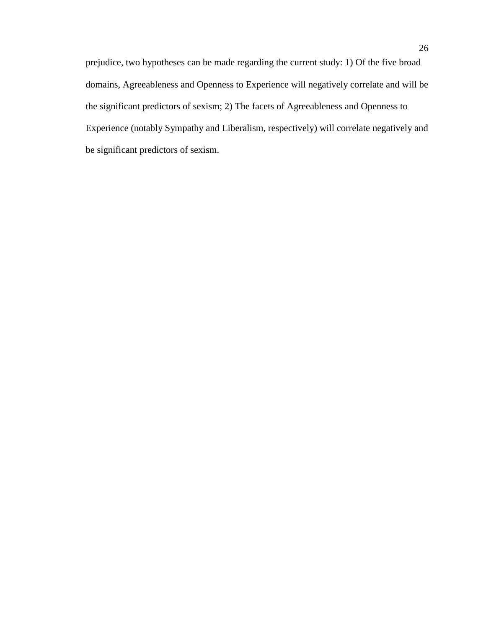prejudice, two hypotheses can be made regarding the current study: 1) Of the five broad domains, Agreeableness and Openness to Experience will negatively correlate and will be the significant predictors of sexism; 2) The facets of Agreeableness and Openness to Experience (notably Sympathy and Liberalism, respectively) will correlate negatively and be significant predictors of sexism.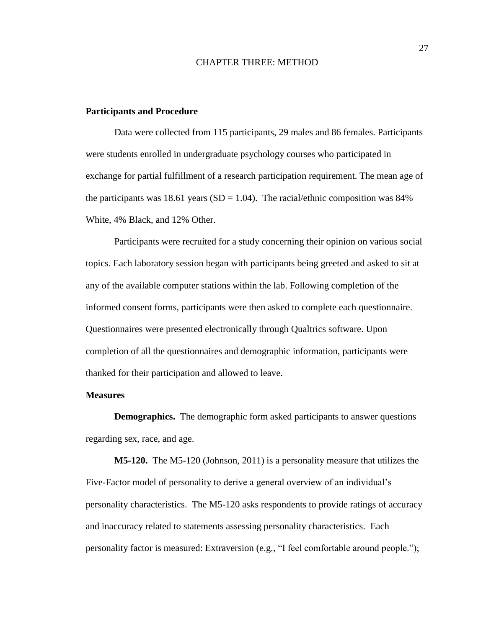### CHAPTER THREE: METHOD

#### <span id="page-26-1"></span><span id="page-26-0"></span>**Participants and Procedure**

Data were collected from 115 participants, 29 males and 86 females. Participants were students enrolled in undergraduate psychology courses who participated in exchange for partial fulfillment of a research participation requirement. The mean age of the participants was 18.61 years ( $SD = 1.04$ ). The racial/ethnic composition was 84% White, 4% Black, and 12% Other.

Participants were recruited for a study concerning their opinion on various social topics. Each laboratory session began with participants being greeted and asked to sit at any of the available computer stations within the lab. Following completion of the informed consent forms, participants were then asked to complete each questionnaire. Questionnaires were presented electronically through Qualtrics software. Upon completion of all the questionnaires and demographic information, participants were thanked for their participation and allowed to leave.

## <span id="page-26-2"></span>**Measures**

<span id="page-26-3"></span>**Demographics.** The demographic form asked participants to answer questions regarding sex, race, and age.

<span id="page-26-4"></span>**M5-120.** The M5-120 (Johnson, 2011) is a personality measure that utilizes the Five-Factor model of personality to derive a general overview of an individual's personality characteristics. The M5-120 asks respondents to provide ratings of accuracy and inaccuracy related to statements assessing personality characteristics. Each personality factor is measured: Extraversion (e.g., "I feel comfortable around people.");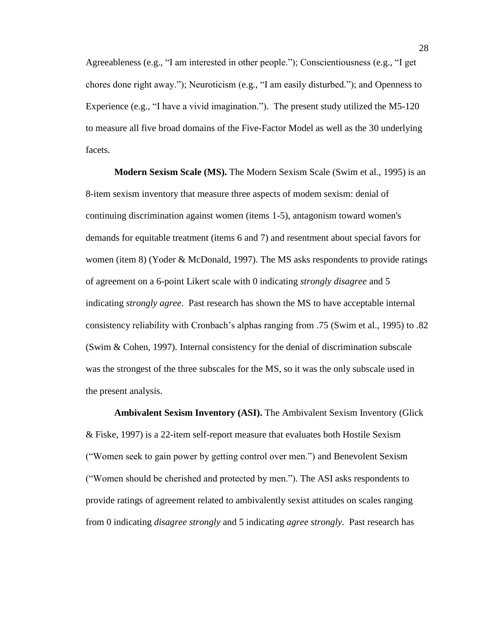Agreeableness (e.g., "I am interested in other people."); Conscientiousness (e.g., "I get chores done right away."); Neuroticism (e.g., "I am easily disturbed."); and Openness to Experience (e.g., "I have a vivid imagination."). The present study utilized the M5-120 to measure all five broad domains of the Five-Factor Model as well as the 30 underlying facets.

<span id="page-27-0"></span>**Modern Sexism Scale (MS).** The Modern Sexism Scale (Swim et al., 1995) is an 8-item sexism inventory that measure three aspects of modem sexism: denial of continuing discrimination against women (items 1-5), antagonism toward women's demands for equitable treatment (items 6 and 7) and resentment about special favors for women (item 8) (Yoder & McDonald, 1997). The MS asks respondents to provide ratings of agreement on a 6-point Likert scale with 0 indicating *strongly disagree* and 5 indicating *strongly agree*. Past research has shown the MS to have acceptable internal consistency reliability with Cronbach's alphas ranging from .75 (Swim et al., 1995) to .82 (Swim & Cohen, 1997). Internal consistency for the denial of discrimination subscale was the strongest of the three subscales for the MS, so it was the only subscale used in the present analysis.

<span id="page-27-1"></span>**Ambivalent Sexism Inventory (ASI).** The Ambivalent Sexism Inventory (Glick & Fiske, 1997) is a 22-item self-report measure that evaluates both Hostile Sexism ("Women seek to gain power by getting control over men.") and Benevolent Sexism ("Women should be cherished and protected by men."). The ASI asks respondents to provide ratings of agreement related to ambivalently sexist attitudes on scales ranging from 0 indicating *disagree strongly* and 5 indicating *agree strongly*. Past research has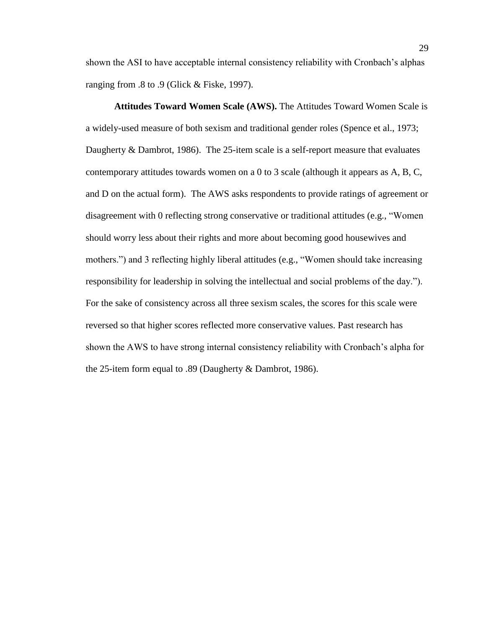shown the ASI to have acceptable internal consistency reliability with Cronbach's alphas ranging from .8 to .9 (Glick & Fiske, 1997).

<span id="page-28-0"></span>**Attitudes Toward Women Scale (AWS).** The Attitudes Toward Women Scale is a widely-used measure of both sexism and traditional gender roles (Spence et al., 1973; Daugherty & Dambrot, 1986). The 25-item scale is a self-report measure that evaluates contemporary attitudes towards women on a 0 to 3 scale (although it appears as A, B, C, and D on the actual form). The AWS asks respondents to provide ratings of agreement or disagreement with 0 reflecting strong conservative or traditional attitudes (e.g., "Women should worry less about their rights and more about becoming good housewives and mothers.") and 3 reflecting highly liberal attitudes (e.g., "Women should take increasing responsibility for leadership in solving the intellectual and social problems of the day."). For the sake of consistency across all three sexism scales, the scores for this scale were reversed so that higher scores reflected more conservative values. Past research has shown the AWS to have strong internal consistency reliability with Cronbach's alpha for the 25-item form equal to .89 (Daugherty & Dambrot, 1986).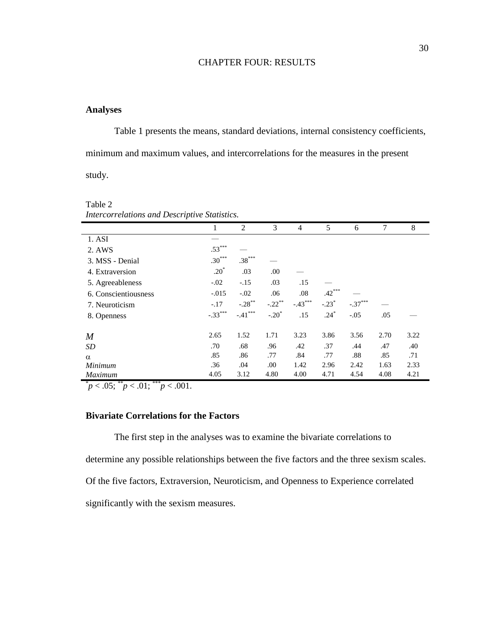## CHAPTER FOUR: RESULTS

## <span id="page-29-1"></span><span id="page-29-0"></span>**Analyses**

Table 1 presents the means, standard deviations, internal consistency coefficients, minimum and maximum values, and intercorrelations for the measures in the present study.

Table 2 *Intercorrelations and Descriptive Statistics.*

| <i>Intercorretations and Descriptive Statistics.</i> |           |                      |           |                |          |           |      |      |
|------------------------------------------------------|-----------|----------------------|-----------|----------------|----------|-----------|------|------|
|                                                      | 1         | 2                    | 3         | $\overline{4}$ | 5        | 6         | 7    | 8    |
| 1. ASI                                               |           |                      |           |                |          |           |      |      |
| 2. AWS                                               | $.53***$  |                      |           |                |          |           |      |      |
| 3. MSS - Denial                                      | $.30***$  | $.38***$             |           |                |          |           |      |      |
| 4. Extraversion                                      | $.20*$    | .03                  | .00.      |                |          |           |      |      |
| 5. Agreeableness                                     | $-.02$    | $-.15$               | .03       | .15            |          |           |      |      |
| 6. Conscientiousness                                 | $-.015$   | $-.02$               | .06       | .08            | $.42***$ |           |      |      |
| 7. Neuroticism                                       | $-.17$    | $-.28$ <sup>**</sup> | $-.22***$ | $-.43***$      | $-.23*$  | $-.37***$ |      |      |
| 8. Openness                                          | $-.33***$ | $-.41***$            | $-.20*$   | .15            | $.24*$   | $-.05$    | .05  |      |
|                                                      |           |                      |           |                |          |           |      |      |
| $\boldsymbol{M}$                                     | 2.65      | 1.52                 | 1.71      | 3.23           | 3.86     | 3.56      | 2.70 | 3.22 |
| SD                                                   | .70       | .68                  | .96       | .42            | .37      | .44       | .47  | .40  |
| $\alpha$                                             | .85       | .86                  | .77       | .84            | .77      | .88       | .85  | .71  |
| Minimum                                              | .36       | .04                  | .00       | 1.42           | 2.96     | 2.42      | 1.63 | 2.33 |
| Maximum                                              | 4.05      | 3.12                 | 4.80      | 4.00           | 4.71     | 4.54      | 4.08 | 4.21 |

 $p < .05$ ;  $p < .01$ ;  $p < .001$ .

## <span id="page-29-2"></span>**Bivariate Correlations for the Factors**

The first step in the analyses was to examine the bivariate correlations to determine any possible relationships between the five factors and the three sexism scales. Of the five factors, Extraversion, Neuroticism, and Openness to Experience correlated significantly with the sexism measures.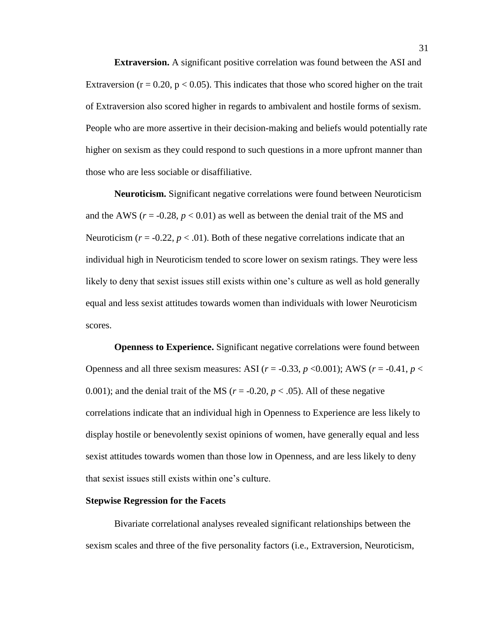<span id="page-30-0"></span>**Extraversion.** A significant positive correlation was found between the ASI and Extraversion ( $r = 0.20$ ,  $p < 0.05$ ). This indicates that those who scored higher on the trait of Extraversion also scored higher in regards to ambivalent and hostile forms of sexism. People who are more assertive in their decision-making and beliefs would potentially rate higher on sexism as they could respond to such questions in a more upfront manner than those who are less sociable or disaffiliative.

<span id="page-30-1"></span>**Neuroticism.** Significant negative correlations were found between Neuroticism and the AWS ( $r = -0.28$ ,  $p < 0.01$ ) as well as between the denial trait of the MS and Neuroticism  $(r = -0.22, p < 0.01)$ . Both of these negative correlations indicate that an individual high in Neuroticism tended to score lower on sexism ratings. They were less likely to deny that sexist issues still exists within one's culture as well as hold generally equal and less sexist attitudes towards women than individuals with lower Neuroticism scores.

<span id="page-30-2"></span>**Openness to Experience.** Significant negative correlations were found between Openness and all three sexism measures: ASI ( $r = -0.33$ ,  $p < 0.001$ ); AWS ( $r = -0.41$ ,  $p <$ 0.001); and the denial trait of the MS ( $r = -0.20$ ,  $p < .05$ ). All of these negative correlations indicate that an individual high in Openness to Experience are less likely to display hostile or benevolently sexist opinions of women, have generally equal and less sexist attitudes towards women than those low in Openness, and are less likely to deny that sexist issues still exists within one's culture.

#### <span id="page-30-3"></span>**Stepwise Regression for the Facets**

Bivariate correlational analyses revealed significant relationships between the sexism scales and three of the five personality factors (i.e., Extraversion, Neuroticism,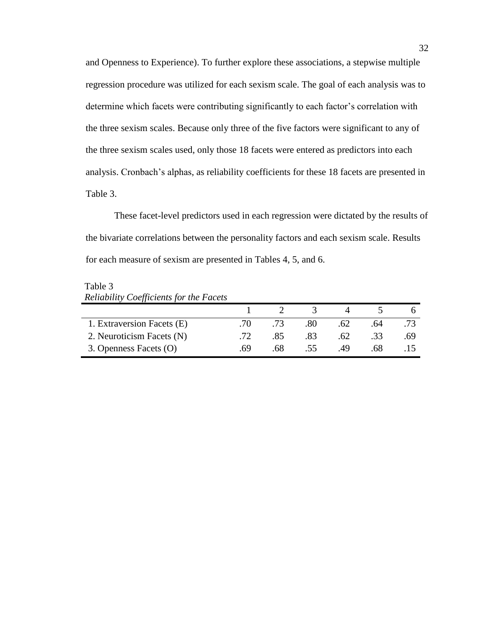and Openness to Experience). To further explore these associations, a stepwise multiple regression procedure was utilized for each sexism scale. The goal of each analysis was to determine which facets were contributing significantly to each factor's correlation with the three sexism scales. Because only three of the five factors were significant to any of the three sexism scales used, only those 18 facets were entered as predictors into each analysis. Cronbach's alphas, as reliability coefficients for these 18 facets are presented in Table 3.

These facet-level predictors used in each regression were dictated by the results of the bivariate correlations between the personality factors and each sexism scale. Results for each measure of sexism are presented in Tables 4, 5, and 6.

Table 3 *Reliability Coefficients for the Facets*

| 1. Extraversion Facets (E) | - 70 - | -73 | .80 | .62 | .64 |     |
|----------------------------|--------|-----|-----|-----|-----|-----|
| 2. Neuroticism Facets (N)  |        | .85 | .83 | .62 | .33 | .69 |
| 3. Openness Facets (O)     | .69    | .68 |     | 49  | 68  |     |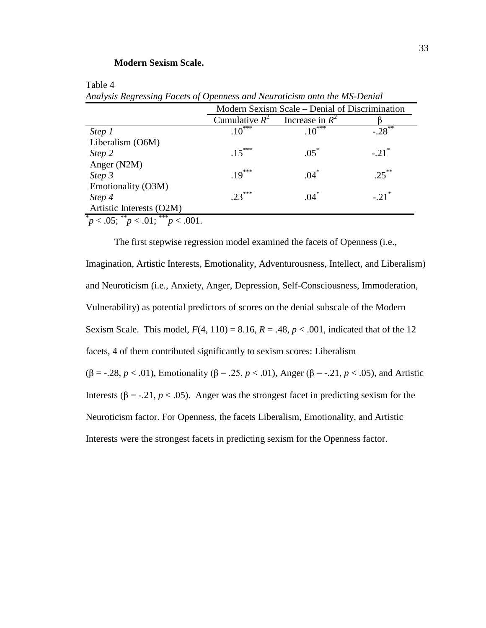## **Modern Sexism Scale.**

<span id="page-32-0"></span>Table 4

|                          | Modern Sexism Scale – Denial of Discrimination |          |                     |  |  |  |  |
|--------------------------|------------------------------------------------|----------|---------------------|--|--|--|--|
|                          | Cumulative $R^2$<br>Increase in $R^2$          |          |                     |  |  |  |  |
| Step 1                   | $.10^{***}$                                    | $.10***$ | $-28$               |  |  |  |  |
| Liberalism (O6M)         |                                                |          |                     |  |  |  |  |
| Step 2                   | $.15***$                                       | $.05*$   | $-.21$ <sup>*</sup> |  |  |  |  |
| Anger (N2M)              |                                                |          |                     |  |  |  |  |
| Step 3                   | $.19***$                                       | $.04*$   | $25***$             |  |  |  |  |
| Emotionality (O3M)       |                                                |          |                     |  |  |  |  |
| Step 4                   | $.23***$                                       | $.04*$   | $-.21$ <sup>*</sup> |  |  |  |  |
| Artistic Interests (O2M) |                                                |          |                     |  |  |  |  |

*Analysis Regressing Facets of Openness and Neuroticism onto the MS-Denial*

 $p < .05$ ;  $p < .01$ ;  $p > .001$ .

The first stepwise regression model examined the facets of Openness (i.e., Imagination, Artistic Interests, Emotionality, Adventurousness, Intellect, and Liberalism) and Neuroticism (i.e., Anxiety, Anger, Depression, Self-Consciousness, Immoderation, Vulnerability) as potential predictors of scores on the denial subscale of the Modern Sexism Scale. This model,  $F(4, 110) = 8.16$ ,  $R = .48$ ,  $p < .001$ , indicated that of the 12 facets, 4 of them contributed significantly to sexism scores: Liberalism (β = -.28, *p* < .01), Emotionality (β = .25, *p* < .01), Anger (β = -.21, *p* < .05), and Artistic Interests ( $\beta$  = -.21,  $p < .05$ ). Anger was the strongest facet in predicting sexism for the Neuroticism factor. For Openness, the facets Liberalism, Emotionality, and Artistic Interests were the strongest facets in predicting sexism for the Openness factor.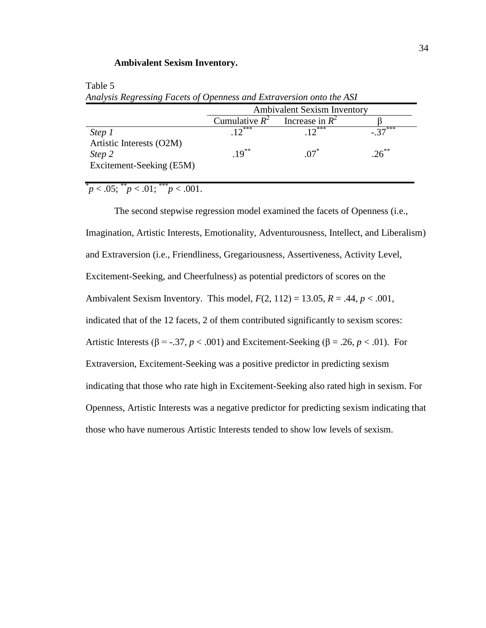#### **Ambivalent Sexism Inventory.**

|                                                                | <b>Ambivalent Sexism Inventory</b> |                   |                     |  |  |
|----------------------------------------------------------------|------------------------------------|-------------------|---------------------|--|--|
|                                                                | Cumulative $R^2$                   | Increase in $R^2$ |                     |  |  |
| Step 1                                                         | 1 $\bigcap_{k\geq 0}$              | $10***$           | $37$ <sup>***</sup> |  |  |
| Artistic Interests (O2M)<br>Step 2<br>Excitement-Seeking (E5M) | $19^{**}$                          | $.07*$            | $26^{**}$           |  |  |

<span id="page-33-0"></span>Table 5 *Analysis Regressing Facets of Openness and Extraversion onto the ASI*

 $p < .05$ ;  $p < .01$ ;  $p < .001$ .

The second stepwise regression model examined the facets of Openness (i.e., Imagination, Artistic Interests, Emotionality, Adventurousness, Intellect, and Liberalism) and Extraversion (i.e., Friendliness, Gregariousness, Assertiveness, Activity Level, Excitement-Seeking, and Cheerfulness) as potential predictors of scores on the Ambivalent Sexism Inventory. This model, *F*(2, 112) = 13.05, *R* = .44, *p* < .001, indicated that of the 12 facets, 2 of them contributed significantly to sexism scores: Artistic Interests ( $\beta$  = -.37, *p* < .001) and Excitement-Seeking ( $\beta$  = .26, *p* < .01). For Extraversion, Excitement-Seeking was a positive predictor in predicting sexism indicating that those who rate high in Excitement-Seeking also rated high in sexism. For Openness, Artistic Interests was a negative predictor for predicting sexism indicating that those who have numerous Artistic Interests tended to show low levels of sexism.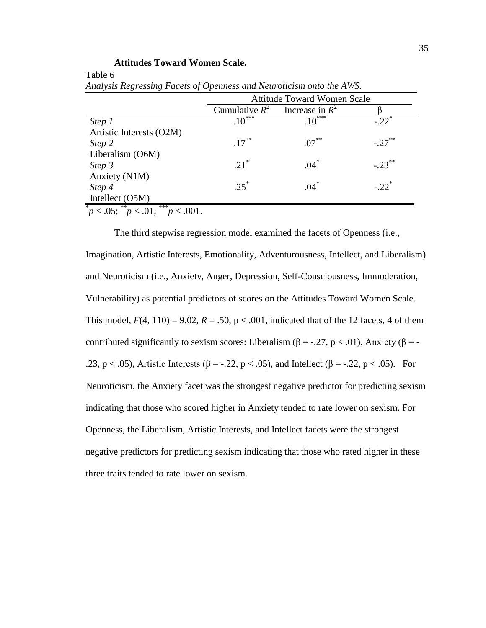## **Attitudes Toward Women Scale.**

<span id="page-34-0"></span>Table 6

|                                                             | <b>Attitude Toward Women Scale</b> |                   |                      |  |  |  |  |
|-------------------------------------------------------------|------------------------------------|-------------------|----------------------|--|--|--|--|
|                                                             | Cumulative $R^2$                   | Increase in $R^2$ |                      |  |  |  |  |
| Step 1                                                      | $.10^{***}$                        | $.10***$          | $-22$ <sup>*</sup>   |  |  |  |  |
| Artistic Interests (O2M)                                    |                                    |                   |                      |  |  |  |  |
| Step 2                                                      | $.17***$                           | $.07***$          | $-.27$ <sup>**</sup> |  |  |  |  |
| Liberalism (O6M)                                            |                                    |                   |                      |  |  |  |  |
| Step 3                                                      | $.21^*$                            | $.04*$            | $-.23***$            |  |  |  |  |
| Anxiety (N1M)                                               |                                    |                   |                      |  |  |  |  |
| Step 4                                                      | $25^*$                             | $.04*$            | $-22$ <sup>*</sup>   |  |  |  |  |
| Intellect (O5M)                                             |                                    |                   |                      |  |  |  |  |
| $\sqrt[p]{p} < .05; \sqrt[p]{p} < .01; \sqrt[p]{p} < .001.$ |                                    |                   |                      |  |  |  |  |

*Analysis Regressing Facets of Openness and Neuroticism onto the AWS.*

The third stepwise regression model examined the facets of Openness (i.e., Imagination, Artistic Interests, Emotionality, Adventurousness, Intellect, and Liberalism) and Neuroticism (i.e., Anxiety, Anger, Depression, Self-Consciousness, Immoderation, Vulnerability) as potential predictors of scores on the Attitudes Toward Women Scale. This model,  $F(4, 110) = 9.02$ ,  $R = .50$ ,  $p < .001$ , indicated that of the 12 facets, 4 of them contributed significantly to sexism scores: Liberalism ( $\beta$  = -.27, p < .01), Anxiety ( $\beta$  = -.23, p < .05), Artistic Interests ( $\beta$  = -.22, p < .05), and Intellect ( $\beta$  = -.22, p < .05). For Neuroticism, the Anxiety facet was the strongest negative predictor for predicting sexism indicating that those who scored higher in Anxiety tended to rate lower on sexism. For Openness, the Liberalism, Artistic Interests, and Intellect facets were the strongest negative predictors for predicting sexism indicating that those who rated higher in these three traits tended to rate lower on sexism.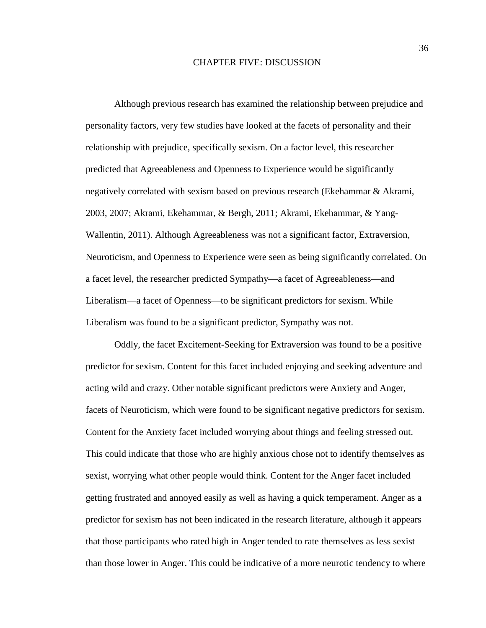#### CHAPTER FIVE: DISCUSSION

<span id="page-35-0"></span>Although previous research has examined the relationship between prejudice and personality factors, very few studies have looked at the facets of personality and their relationship with prejudice, specifically sexism. On a factor level, this researcher predicted that Agreeableness and Openness to Experience would be significantly negatively correlated with sexism based on previous research (Ekehammar & Akrami, 2003, 2007; Akrami, Ekehammar, & Bergh, 2011; Akrami, Ekehammar, & Yang-Wallentin, 2011). Although Agreeableness was not a significant factor, Extraversion, Neuroticism, and Openness to Experience were seen as being significantly correlated. On a facet level, the researcher predicted Sympathy—a facet of Agreeableness—and Liberalism—a facet of Openness—to be significant predictors for sexism. While Liberalism was found to be a significant predictor, Sympathy was not.

Oddly, the facet Excitement-Seeking for Extraversion was found to be a positive predictor for sexism. Content for this facet included enjoying and seeking adventure and acting wild and crazy. Other notable significant predictors were Anxiety and Anger, facets of Neuroticism, which were found to be significant negative predictors for sexism. Content for the Anxiety facet included worrying about things and feeling stressed out. This could indicate that those who are highly anxious chose not to identify themselves as sexist, worrying what other people would think. Content for the Anger facet included getting frustrated and annoyed easily as well as having a quick temperament. Anger as a predictor for sexism has not been indicated in the research literature, although it appears that those participants who rated high in Anger tended to rate themselves as less sexist than those lower in Anger. This could be indicative of a more neurotic tendency to where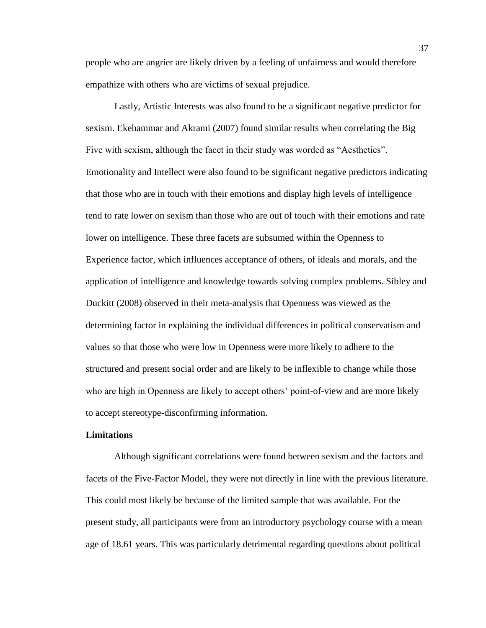people who are angrier are likely driven by a feeling of unfairness and would therefore empathize with others who are victims of sexual prejudice.

Lastly, Artistic Interests was also found to be a significant negative predictor for sexism. Ekehammar and Akrami (2007) found similar results when correlating the Big Five with sexism, although the facet in their study was worded as "Aesthetics". Emotionality and Intellect were also found to be significant negative predictors indicating that those who are in touch with their emotions and display high levels of intelligence tend to rate lower on sexism than those who are out of touch with their emotions and rate lower on intelligence. These three facets are subsumed within the Openness to Experience factor, which influences acceptance of others, of ideals and morals, and the application of intelligence and knowledge towards solving complex problems. Sibley and Duckitt (2008) observed in their meta-analysis that Openness was viewed as the determining factor in explaining the individual differences in political conservatism and values so that those who were low in Openness were more likely to adhere to the structured and present social order and are likely to be inflexible to change while those who are high in Openness are likely to accept others' point-of-view and are more likely to accept stereotype-disconfirming information.

## <span id="page-36-0"></span>**Limitations**

Although significant correlations were found between sexism and the factors and facets of the Five-Factor Model, they were not directly in line with the previous literature. This could most likely be because of the limited sample that was available. For the present study, all participants were from an introductory psychology course with a mean age of 18.61 years. This was particularly detrimental regarding questions about political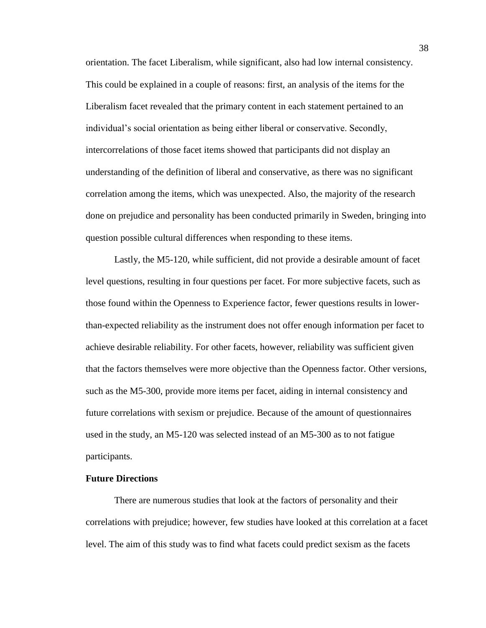orientation. The facet Liberalism, while significant, also had low internal consistency. This could be explained in a couple of reasons: first, an analysis of the items for the Liberalism facet revealed that the primary content in each statement pertained to an individual's social orientation as being either liberal or conservative. Secondly, intercorrelations of those facet items showed that participants did not display an understanding of the definition of liberal and conservative, as there was no significant correlation among the items, which was unexpected. Also, the majority of the research done on prejudice and personality has been conducted primarily in Sweden, bringing into question possible cultural differences when responding to these items.

Lastly, the M5-120, while sufficient, did not provide a desirable amount of facet level questions, resulting in four questions per facet. For more subjective facets, such as those found within the Openness to Experience factor, fewer questions results in lowerthan-expected reliability as the instrument does not offer enough information per facet to achieve desirable reliability. For other facets, however, reliability was sufficient given that the factors themselves were more objective than the Openness factor. Other versions, such as the M5-300, provide more items per facet, aiding in internal consistency and future correlations with sexism or prejudice. Because of the amount of questionnaires used in the study, an M5-120 was selected instead of an M5-300 as to not fatigue participants.

### <span id="page-37-0"></span>**Future Directions**

There are numerous studies that look at the factors of personality and their correlations with prejudice; however, few studies have looked at this correlation at a facet level. The aim of this study was to find what facets could predict sexism as the facets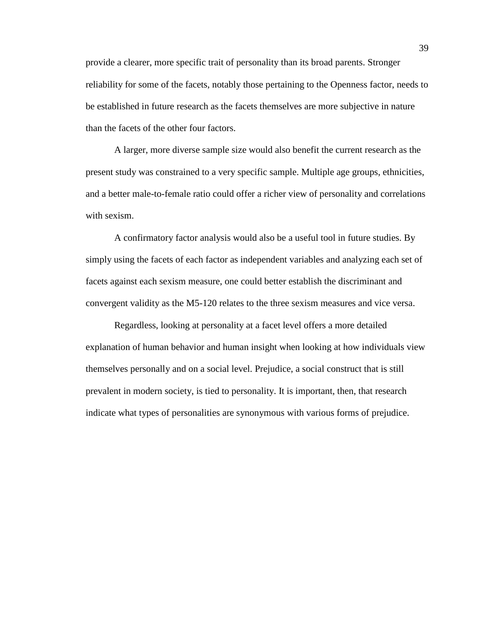provide a clearer, more specific trait of personality than its broad parents. Stronger reliability for some of the facets, notably those pertaining to the Openness factor, needs to be established in future research as the facets themselves are more subjective in nature than the facets of the other four factors.

A larger, more diverse sample size would also benefit the current research as the present study was constrained to a very specific sample. Multiple age groups, ethnicities, and a better male-to-female ratio could offer a richer view of personality and correlations with sexism.

A confirmatory factor analysis would also be a useful tool in future studies. By simply using the facets of each factor as independent variables and analyzing each set of facets against each sexism measure, one could better establish the discriminant and convergent validity as the M5-120 relates to the three sexism measures and vice versa.

Regardless, looking at personality at a facet level offers a more detailed explanation of human behavior and human insight when looking at how individuals view themselves personally and on a social level. Prejudice, a social construct that is still prevalent in modern society, is tied to personality. It is important, then, that research indicate what types of personalities are synonymous with various forms of prejudice.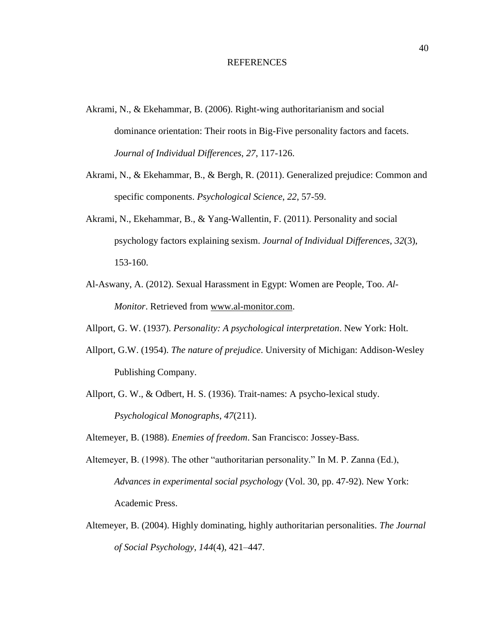#### REFERENCES

- <span id="page-39-0"></span>Akrami, N., & Ekehammar, B. (2006). Right-wing authoritarianism and social dominance orientation: Their roots in Big-Five personality factors and facets. *Journal of Individual Differences*, *27*, 117-126.
- Akrami, N., & Ekehammar, B., & Bergh, R. (2011). Generalized prejudice: Common and specific components. *Psychological Science*, *22*, 57-59.
- Akrami, N., Ekehammar, B., & Yang-Wallentin, F. (2011). Personality and social psychology factors explaining sexism. *Journal of Individual Differences*, *32*(3), 153-160.
- Al-Aswany, A. (2012). Sexual Harassment in Egypt: Women are People, Too. *Al-Monitor*. Retrieved from [www.al-monitor.com.](http://www.al-monitor.com/)
- Allport, G. W. (1937). *Personality: A psychological interpretation*. New York: Holt.
- Allport, G.W. (1954). *The nature of prejudice*. University of Michigan: Addison-Wesley Publishing Company.
- Allport, G. W., & Odbert, H. S. (1936). Trait-names: A psycho-lexical study. *Psychological Monographs*, *47*(211).

Altemeyer, B. (1988). *Enemies of freedom*. San Francisco: Jossey-Bass.

- Altemeyer, B. (1998). The other "authoritarian personality." In M. P. Zanna (Ed.), *Advances in experimental social psychology* (Vol. 30, pp. 47-92). New York: Academic Press.
- Altemeyer, B. (2004). Highly dominating, highly authoritarian personalities. *The Journal of Social Psychology*, *144*(4), 421–447.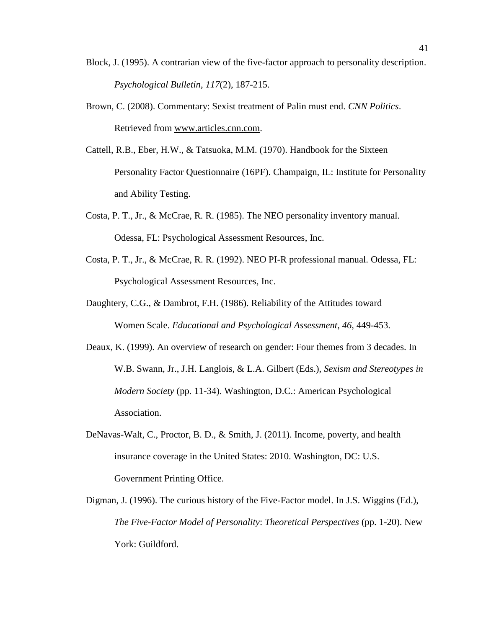- Block, J. (1995). A contrarian view of the five-factor approach to personality description. *Psychological Bulletin*, *117*(2), 187-215.
- Brown, C. (2008). Commentary: Sexist treatment of Palin must end. *CNN Politics*. Retrieved from [www.articles.cnn.com.](http://www.articles.cnn.com/)
- Cattell, R.B., Eber, H.W., & Tatsuoka, M.M. (1970). Handbook for the Sixteen Personality Factor Questionnaire (16PF). Champaign, IL: Institute for Personality and Ability Testing.
- Costa, P. T., Jr., & McCrae, R. R. (1985). The NEO personality inventory manual. Odessa, FL: Psychological Assessment Resources, Inc.
- Costa, P. T., Jr., & McCrae, R. R. (1992). NEO PI-R professional manual. Odessa, FL: Psychological Assessment Resources, Inc.
- Daughtery, C.G., & Dambrot, F.H. (1986). Reliability of the Attitudes toward Women Scale. *Educational and Psychological Assessment*, *46*, 449-453.
- Deaux, K. (1999). An overview of research on gender: Four themes from 3 decades. In W.B. Swann, Jr., J.H. Langlois, & L.A. Gilbert (Eds.), *Sexism and Stereotypes in Modern Society* (pp. 11-34). Washington, D.C.: American Psychological Association.
- DeNavas-Walt, C., Proctor, B. D., & Smith, J. (2011). Income, poverty, and health insurance coverage in the United States: 2010. Washington, DC: U.S. Government Printing Office.
- Digman, J. (1996). The curious history of the Five-Factor model. In J.S. Wiggins (Ed.), *The Five-Factor Model of Personality*: *Theoretical Perspectives* (pp. 1-20). New York: Guildford.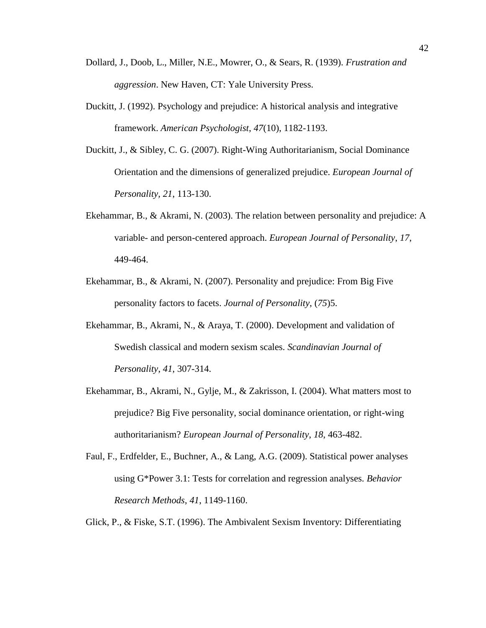- Dollard, J., Doob, L., Miller, N.E., Mowrer, O., & Sears, R. (1939). *Frustration and aggression*. New Haven, CT: Yale University Press.
- Duckitt, J. (1992). Psychology and prejudice: A historical analysis and integrative framework. *American Psychologist*, *47*(10), 1182-1193.
- Duckitt, J., & Sibley, C. G. (2007). Right-Wing Authoritarianism, Social Dominance Orientation and the dimensions of generalized prejudice. *European Journal of Personality, 21*, 113-130.
- Ekehammar, B., & Akrami, N. (2003). The relation between personality and prejudice: A variable- and person-centered approach. *European Journal of Personality*, *17*, 449-464.
- Ekehammar, B., & Akrami, N. (2007). Personality and prejudice: From Big Five personality factors to facets. *Journal of Personality*, (*75*)5.
- Ekehammar, B., Akrami, N., & Araya, T. (2000). Development and validation of Swedish classical and modern sexism scales. *Scandinavian Journal of Personality*, *41*, 307-314.
- Ekehammar, B., Akrami, N., Gylje, M., & Zakrisson, I. (2004). What matters most to prejudice? Big Five personality, social dominance orientation, or right-wing authoritarianism? *European Journal of Personality*, *18*, 463-482.
- Faul, F., Erdfelder, E., Buchner, A., & Lang, A.G. (2009). Statistical power analyses using G\*Power 3.1: Tests for correlation and regression analyses. *Behavior Research Methods*, *41*, 1149-1160.
- Glick, P., & Fiske, S.T. (1996). The Ambivalent Sexism Inventory: Differentiating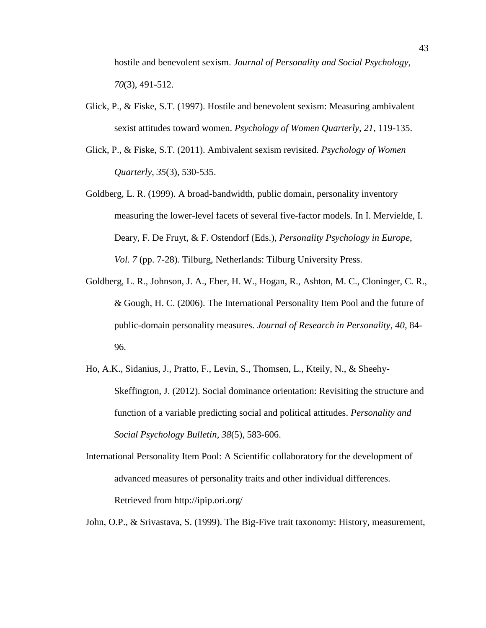hostile and benevolent sexism. *Journal of Personality and Social Psychology*, *70*(3), 491-512.

- Glick, P., & Fiske, S.T. (1997). Hostile and benevolent sexism: Measuring ambivalent sexist attitudes toward women. *Psychology of Women Quarterly*, *21*, 119-135.
- Glick, P., & Fiske, S.T. (2011). Ambivalent sexism revisited. *Psychology of Women Quarterly*, *35*(3), 530-535.
- Goldberg, L. R. (1999). A broad-bandwidth, public domain, personality inventory measuring the lower-level facets of several five-factor models. In I. Mervielde, I. Deary, F. De Fruyt, & F. Ostendorf (Eds.), *Personality Psychology in Europe*, *Vol. 7* (pp. 7-28). Tilburg, Netherlands: Tilburg University Press.
- Goldberg, L. R., Johnson, J. A., Eber, H. W., Hogan, R., Ashton, M. C., Cloninger, C. R., & Gough, H. C. (2006). The International Personality Item Pool and the future of public-domain personality measures. *Journal of Research in Personality*, *40*, 84- 96.
- Ho, A.K., Sidanius, J., Pratto, F., Levin, S., Thomsen, L., Kteily, N., & Sheehy-Skeffington, J. (2012). Social dominance orientation: Revisiting the structure and function of a variable predicting social and political attitudes. *Personality and Social Psychology Bulletin*, *38*(5), 583-606.
- International Personality Item Pool: A Scientific collaboratory for the development of advanced measures of personality traits and other individual differences. Retrieved from http://ipip.ori.org/
- John, O.P., & Srivastava, S. (1999). The Big-Five trait taxonomy: History, measurement,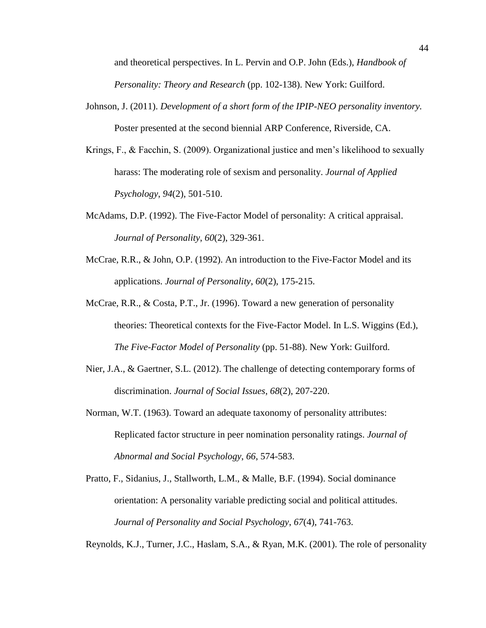and theoretical perspectives. In L. Pervin and O.P. John (Eds.), *Handbook of Personality: Theory and Research* (pp. 102-138). New York: Guilford.

- Johnson, J. (2011). *Development of a short form of the IPIP-NEO personality inventory.*  Poster presented at the second biennial ARP Conference, Riverside, CA.
- Krings, F., & Facchin, S. (2009). Organizational justice and men's likelihood to sexually harass: The moderating role of sexism and personality. *Journal of Applied Psychology*, *94*(2), 501-510.
- McAdams, D.P. (1992). The Five-Factor Model of personality: A critical appraisal. *Journal of Personality*, *60*(2), 329-361.
- McCrae, R.R., & John, O.P. (1992). An introduction to the Five-Factor Model and its applications. *Journal of Personality*, *60*(2), 175-215.
- McCrae, R.R., & Costa, P.T., Jr. (1996). Toward a new generation of personality theories: Theoretical contexts for the Five-Factor Model. In L.S. Wiggins (Ed.), *The Five-Factor Model of Personality* (pp. 51-88). New York: Guilford.
- Nier, J.A., & Gaertner, S.L. (2012). The challenge of detecting contemporary forms of discrimination. *Journal of Social Issues*, *68*(2), 207-220.
- Norman, W.T. (1963). Toward an adequate taxonomy of personality attributes: Replicated factor structure in peer nomination personality ratings. *Journal of Abnormal and Social Psychology*, *66*, 574-583.
- Pratto, F., Sidanius, J., Stallworth, L.M., & Malle, B.F. (1994). Social dominance orientation: A personality variable predicting social and political attitudes. *Journal of Personality and Social Psychology*, *67*(4), 741-763.

Reynolds, K.J., Turner, J.C., Haslam, S.A., & Ryan, M.K. (2001). The role of personality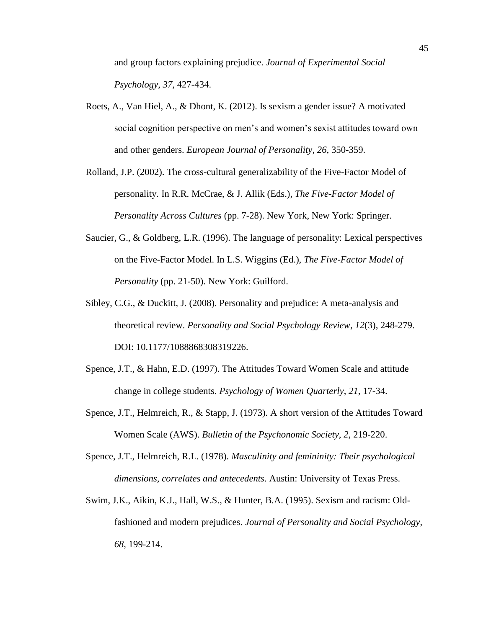and group factors explaining prejudice. *Journal of Experimental Social Psychology*, *37*, 427-434.

- Roets, A., Van Hiel, A., & Dhont, K. (2012). Is sexism a gender issue? A motivated social cognition perspective on men's and women's sexist attitudes toward own and other genders. *European Journal of Personality*, *26*, 350-359.
- Rolland, J.P. (2002). The cross-cultural generalizability of the Five-Factor Model of personality. In R.R. McCrae, & J. Allik (Eds.), *The Five-Factor Model of Personality Across Cultures* (pp. 7-28). New York, New York: Springer.
- Saucier, G., & Goldberg, L.R. (1996). The language of personality: Lexical perspectives on the Five-Factor Model. In L.S. Wiggins (Ed.), *The Five-Factor Model of Personality* (pp. 21-50). New York: Guilford.
- Sibley, C.G., & Duckitt, J. (2008). Personality and prejudice: A meta-analysis and theoretical review. *Personality and Social Psychology Review*, *12*(3), 248-279. DOI: 10.1177/1088868308319226.
- Spence, J.T., & Hahn, E.D. (1997). The Attitudes Toward Women Scale and attitude change in college students. *Psychology of Women Quarterly*, *21*, 17-34.
- Spence, J.T., Helmreich, R., & Stapp, J. (1973). A short version of the Attitudes Toward Women Scale (AWS). *Bulletin of the Psychonomic Society*, *2*, 219-220.
- Spence, J.T., Helmreich, R.L. (1978). *Masculinity and femininity: Their psychological dimensions, correlates and antecedents*. Austin: University of Texas Press.
- Swim, J.K., Aikin, K.J., Hall, W.S., & Hunter, B.A. (1995). Sexism and racism: Oldfashioned and modern prejudices. *Journal of Personality and Social Psychology*, *68*, 199-214.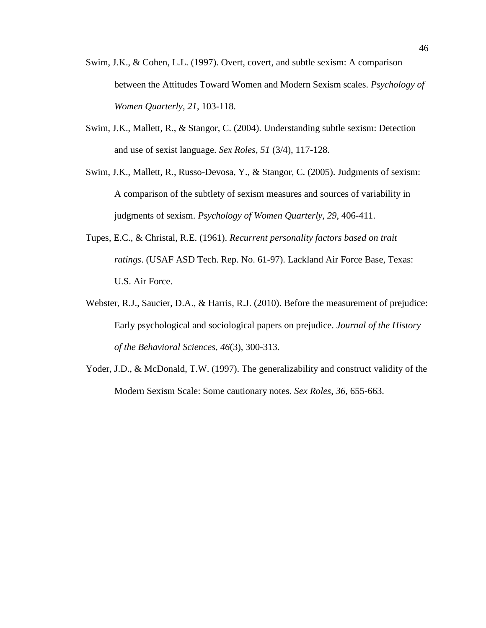- Swim, J.K., & Cohen, L.L. (1997). Overt, covert, and subtle sexism: A comparison between the Attitudes Toward Women and Modern Sexism scales. *Psychology of Women Quarterly*, *21*, 103-118.
- Swim, J.K., Mallett, R., & Stangor, C. (2004). Understanding subtle sexism: Detection and use of sexist language. *Sex Roles*, *51* (3/4), 117-128.
- Swim, J.K., Mallett, R., Russo-Devosa, Y., & Stangor, C. (2005). Judgments of sexism: A comparison of the subtlety of sexism measures and sources of variability in judgments of sexism. *Psychology of Women Quarterly*, *29*, 406-411.
- Tupes, E.C., & Christal, R.E. (1961). *Recurrent personality factors based on trait ratings*. (USAF ASD Tech. Rep. No. 61-97). Lackland Air Force Base, Texas: U.S. Air Force.
- Webster, R.J., Saucier, D.A., & Harris, R.J. (2010). Before the measurement of prejudice: Early psychological and sociological papers on prejudice. *Journal of the History of the Behavioral Sciences*, *46*(3), 300-313.
- Yoder, J.D., & McDonald, T.W. (1997). The generalizability and construct validity of the Modern Sexism Scale: Some cautionary notes. *Sex Roles*, *36*, 655-663.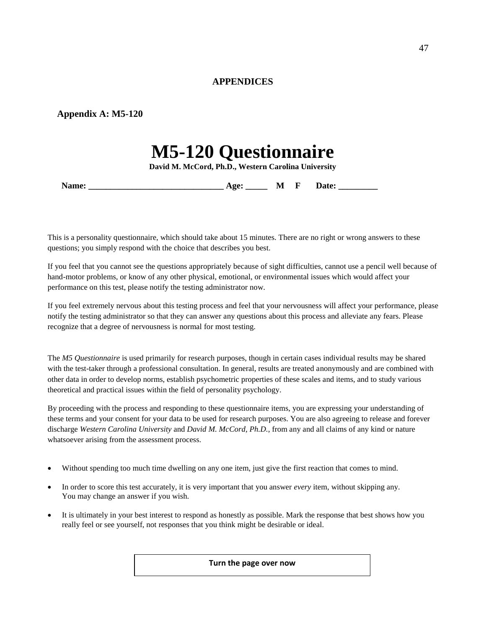## **APPENDICES**

## <span id="page-46-1"></span><span id="page-46-0"></span>**Appendix A: M5-120**

# **M5-120 Questionnaire**

**David M. McCord, Ph.D., Western Carolina University**

**Name: Age: M F** Date:

This is a personality questionnaire, which should take about 15 minutes. There are no right or wrong answers to these questions; you simply respond with the choice that describes you best.

If you feel that you cannot see the questions appropriately because of sight difficulties, cannot use a pencil well because of hand-motor problems, or know of any other physical, emotional, or environmental issues which would affect your performance on this test, please notify the testing administrator now.

If you feel extremely nervous about this testing process and feel that your nervousness will affect your performance, please notify the testing administrator so that they can answer any questions about this process and alleviate any fears. Please recognize that a degree of nervousness is normal for most testing.

The *M5 Questionnaire* is used primarily for research purposes, though in certain cases individual results may be shared with the test-taker through a professional consultation. In general, results are treated anonymously and are combined with other data in order to develop norms, establish psychometric properties of these scales and items, and to study various theoretical and practical issues within the field of personality psychology.

By proceeding with the process and responding to these questionnaire items, you are expressing your understanding of these terms and your consent for your data to be used for research purposes. You are also agreeing to release and forever discharge *Western Carolina University* and *David M. McCord, Ph.D.,* from any and all claims of any kind or nature whatsoever arising from the assessment process.

- Without spending too much time dwelling on any one item, just give the first reaction that comes to mind.
- In order to score this test accurately, it is very important that you answer *every* item, without skipping any. You may change an answer if you wish.
- It is ultimately in your best interest to respond as honestly as possible. Mark the response that best shows how you really feel or see yourself, not responses that you think might be desirable or ideal.

**Turn the page over now**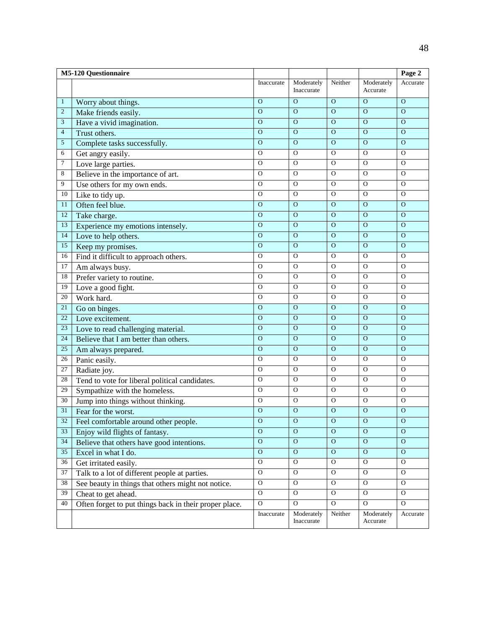|                 | <b>M5-120 Questionnaire</b>                            |                |                          |                |                        | Page 2         |
|-----------------|--------------------------------------------------------|----------------|--------------------------|----------------|------------------------|----------------|
|                 |                                                        | Inaccurate     | Moderately<br>Inaccurate | Neither        | Moderately<br>Accurate | Accurate       |
| $\mathbf{1}$    | Worry about things.                                    | $\overline{O}$ | $\Omega$                 | $\Omega$       | $\overline{O}$         | $\Omega$       |
| $\mathbf{2}$    | Make friends easily.                                   | $\overline{O}$ | $\Omega$                 | $\Omega$       | $\Omega$               | $\Omega$       |
| $\mathfrak{Z}$  | Have a vivid imagination.                              | $\mathbf O$    | $\mathbf{O}$             | $\mathbf{O}$   | $\mathbf{O}$           | $\overline{O}$ |
| $\overline{4}$  | Trust others.                                          | $\overline{O}$ | $\mathbf O$              | $\Omega$       | $\mathbf{O}$           | $\Omega$       |
| 5               | Complete tasks successfully.                           | $\overline{O}$ | $\Omega$                 | $\Omega$       | $\circ$                | $\Omega$       |
| 6               | Get angry easily.                                      | O              | $\mathbf{O}$             | $\mathbf O$    | $\mathcal{O}$          | $\mathbf{O}$   |
| 7               | Love large parties.                                    | $\mathbf O$    | $\mathbf O$              | $\mathbf{O}$   | $\mathbf{O}$           | $\mathbf{O}$   |
| 8               | Believe in the importance of art.                      | O              | $\mathbf{O}$             | $\mathbf{O}$   | $\mathbf{O}$           | $\mathbf{O}$   |
| 9               | Use others for my own ends.                            | O              | $\mathbf{O}$             | $\mathbf{O}$   | $\mathcal{O}$          | $\mathbf{O}$   |
| $10\,$          | Like to tidy up.                                       | $\mathbf O$    | $\mathbf O$              | $\mathbf{O}$   | $\mathbf{O}$           | $\Omega$       |
| 11              | Often feel blue.                                       | $\mathbf O$    | $\mathbf O$              | $\Omega$       | $\mathbf O$            | $\Omega$       |
| 12              | Take charge.                                           | $\overline{O}$ | $\overline{O}$           | $\overline{O}$ | $\overline{O}$         | $\overline{O}$ |
| 13              | Experience my emotions intensely.                      | $\overline{0}$ | $\mathbf O$              | $\mathbf{O}$   | $\mathbf{O}$           | $\Omega$       |
| 14              | Love to help others.                                   | $\mathbf{O}$   | $\mathbf{O}$             | $\mathbf{O}$   | $\mathbf{O}$           | $\Omega$       |
| 15              | Keep my promises.                                      | $\overline{O}$ | $\overline{O}$           | $\overline{0}$ | $\overline{O}$         | $\overline{O}$ |
| 16              | Find it difficult to approach others.                  | $\overline{O}$ | $\mathbf O$              | $\Omega$       | $\overline{O}$         | $\Omega$       |
| 17              | Am always busy.                                        | $\Omega$       | $\Omega$                 | $\mathbf{O}$   | $\mathbf{O}$           | $\Omega$       |
| 18              | Prefer variety to routine.                             | $\overline{O}$ | $\overline{O}$           | $\overline{O}$ | $\mathbf{O}$           | $\mathbf{O}$   |
| 19              | Love a good fight.                                     | $\mathbf O$    | $\mathbf O$              | $\mathbf{O}$   | $\mathbf{O}$           | $\mathbf{O}$   |
| 20              | Work hard.                                             | O              | $\mathbf{O}$             | $\mathbf{O}$   | $\mathbf{O}$           | $\mathbf{O}$   |
| 21              | Go on binges.                                          | $\overline{O}$ | $\overline{O}$           | $\overline{0}$ | $\overline{O}$         | $\overline{O}$ |
| 22              | Love excitement.                                       | $\mathbf O$    | $\overline{O}$           | $\overline{O}$ | $\overline{O}$         | $\Omega$       |
| 23              | Love to read challenging material.                     | $\mathbf O$    | $\mathbf O$              | $\mathbf O$    | $\mathbf O$            | $\Omega$       |
| 24              | Believe that I am better than others.                  | $\overline{O}$ | $\overline{O}$           | $\overline{O}$ | $\overline{O}$         | $\overline{O}$ |
| 25              | Am always prepared.                                    | $\overline{O}$ | $\Omega$                 | $\mathbf{O}$   | $\overline{O}$         | $\Omega$       |
| 26              | Panic easily.                                          | $\Omega$       | $\mathbf{O}$             | $\mathbf{O}$   | $\mathbf{O}$           | $\Omega$       |
| $\overline{27}$ | Radiate joy.                                           | $\overline{O}$ | $\overline{O}$           | $\overline{0}$ | $\mathbf{O}$           | $\overline{0}$ |
| $28\,$          | Tend to vote for liberal political candidates.         | $\mathbf O$    | $\mathbf O$              | $\Omega$       | $\mathbf{O}$           | $\Omega$       |
| 29              | Sympathize with the homeless.                          | $\Omega$       | $\mathbf O$              | $\mathbf{O}$   | $\mathbf O$            | $\Omega$       |
| 30              | Jump into things without thinking.                     | $\overline{O}$ | $\overline{O}$           | $\overline{O}$ | $\mathbf{O}$           | $\mathbf{O}$   |
| 31              | Fear for the worst.                                    | $\mathbf O$    | $\mathbf O$              | $\mathbf O$    | $\mathbf O$            | $\mathbf O$    |
| 32              | Feel comfortable around other people.                  | $\mathbf{O}$   | $\mathbf O$              | $\mathbf O$    | $\mathbf O$            | $\mathbf O$    |
| 33              | Enjoy wild flights of fantasy.                         | $\overline{O}$ | $\overline{O}$           | $\overline{O}$ | $\overline{O}$         | $\overline{O}$ |
| 34              | Believe that others have good intentions.              | $\overline{O}$ | $\overline{O}$           | $\overline{0}$ | $\overline{O}$         | $\overline{O}$ |
| 35              | Excel in what I do.                                    | $\overline{O}$ | $\mathbf{O}$             | $\mathbf{O}$   | $\mathbf{O}$           | $\Omega$       |
| 36              | Get irritated easily.                                  | $\overline{O}$ | $\mathcal{O}$            | $\mathbf{O}$   | $\mathbf{O}$           | $\mathbf{O}$   |
| 37              | Talk to a lot of different people at parties.          | $\overline{O}$ | $\mathcal{O}$            | $\mathbf{O}$   | $\mathcal{O}$          | $\mathbf{O}$   |
| 38              | See beauty in things that others might not notice.     | O              | $\mathcal{O}$            | $\mathbf{O}$   | O                      | $\mathbf{O}$   |
| 39              | Cheat to get ahead.                                    | $\overline{O}$ | $\mathbf{O}$             | $\mathbf{O}$   | $\mathbf{O}$           | $\mathbf{O}$   |
| 40              | Often forget to put things back in their proper place. | $\overline{O}$ | $\overline{0}$           | $\overline{0}$ | $\overline{O}$         | $\overline{0}$ |
|                 |                                                        | Inaccurate     | Moderately<br>Inaccurate | Neither        | Moderately<br>Accurate | Accurate       |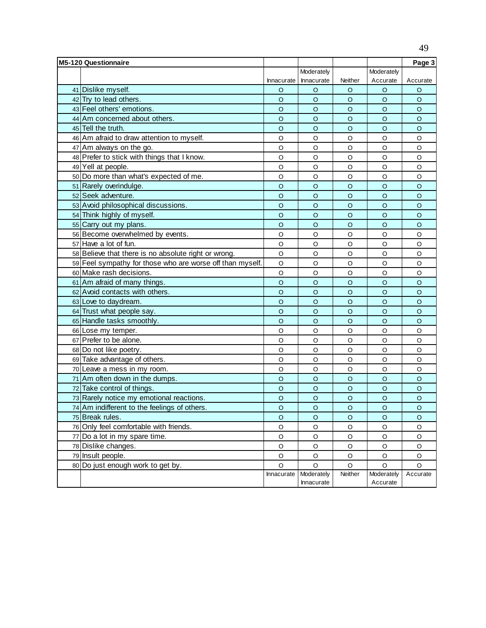| Moderately<br>Moderately<br>Neither<br>Accurate<br>Innacurate<br>Accurate<br>Innacurate<br>41 Dislike myself.<br>O<br>O<br>O<br>O<br>O<br>42 Try to lead others.<br>$\circ$<br>$\circ$<br>$\circ$<br>$\circ$<br>$\circ$<br>43 Feel others' emotions.<br>$\circ$<br>$\circ$<br>$\circ$<br>$\circ$<br>$\circ$<br>44 Am concerned about others.<br>$\circ$<br>$\circ$<br>$\circ$<br>$\circ$<br>$\circ$<br>45 Tell the truth.<br>$\circ$<br>$\circ$<br>O<br>$\circ$<br>O<br>46 Am afraid to draw attention to myself.<br>O<br>O<br>O<br>O<br>O<br>47 Am always on the go.<br>O<br>O<br>O<br>O<br>O<br>48 Prefer to stick with things that I know.<br>$\circ$<br>$\circ$<br>O<br>O<br>O<br>49 Yell at people.<br>O<br>O<br>O<br>O<br>O<br>50 Do more than what's expected of me.<br>$\circ$<br>O<br>O<br>O<br>O<br>51 Rarely overindulge.<br>$\circ$<br>$\circ$<br>$\circ$<br>$\circ$<br>O<br>52 Seek adventure.<br>$\circ$<br>$\circ$<br>$\circ$<br>$\circ$<br>$\circ$<br>53 Avoid philosophical discussions.<br>$\circ$<br>$\circ$<br>$\circ$<br>$\circ$<br>$\circ$<br>54 Think highly of myself.<br>$\circ$<br>$\circ$<br>$\circ$<br>$\circ$<br>$\circ$<br>55 Carry out my plans.<br>$\circ$<br>$\circ$<br>$\circ$<br>$\circ$<br>O<br>56 Become overwhelmed by events.<br>O<br>O<br>O<br>O<br>O<br>57 Have a lot of fun.<br>$\circ$<br>$\circ$<br>$\circ$<br>O<br>O<br>58 Believe that there is no absolute right or wrong.<br>$\mathsf O$<br>$\circ$<br>O<br>O<br>O<br>59 Feel sympathy for those who are worse off than myself.<br>$\mathsf O$<br>$\circ$<br>O<br>$\circ$<br>O<br>60 Make rash decisions.<br>$\circ$<br>$\circ$<br>$\circ$<br>O<br>O<br>61 Am afraid of many things.<br>$\circ$<br>$\circ$<br>$\circ$<br>O<br>O<br>62 Avoid contacts with others.<br>$\circ$<br>$\circ$<br>$\circ$<br>$\circ$<br>$\circ$<br>63 Love to day dream.<br>$\circ$<br>$\circ$<br>$\circ$<br>$\circ$<br>O<br>64 Trust what people say.<br>$\circ$<br>$\circ$<br>$\circ$<br>$\circ$<br>O<br>65 Handle tasks smoothly.<br>$\circ$<br>$\circ$<br>$\circ$<br>O<br>O<br>$\circ$<br>66 Lose my temper.<br>O<br>$\circ$<br>O<br>O<br>67 Prefer to be alone.<br>$\circ$<br>$\circ$<br>O<br>O<br>O<br>68 Do not like poetry.<br>$\circ$<br>$\circ$<br>$\circ$<br>O<br>O<br>69 Take advantage of others.<br>$\circ$<br>$\circ$<br>$\circ$<br>O<br>O<br>$\circ$<br>70 Leave a mess in my room.<br>O<br>O<br>O<br>O<br>71 Am often down in the dumps.<br>$\circ$<br>$\circ$<br>O<br>$\circ$<br>$\circ$<br>72 Take control of things.<br>$\circ$<br>$\circ$<br>$\circ$<br>$\circ$<br>$\circ$<br>73 Rarely notice my emotional reactions.<br>$\circ$<br>$\circ$<br>$\circ$<br>$\circ$<br>$\circ$<br>74 Am indifferent to the feelings of others.<br>$\circ$<br>$\circ$<br>$\circ$<br>$\circ$<br>$\circ$<br>75 Break rules.<br>O<br>$\circ$<br>O<br>O<br>O<br>76 Only feel comfortable with friends.<br>O<br>O<br>O<br>O<br>O<br>77 Do a lot in my spare time.<br>O<br>O<br>O<br>O<br>O<br>78 Dislike changes.<br>$\circ$<br>$\circ$<br>O<br>O<br>O<br>79 Insult people.<br>$\mathsf O$<br>O<br>O<br>$\circ$<br>O<br>80 Do just enough work to get by.<br>$\circ$<br>$\circ$<br>O<br>O<br>O<br>Moderately<br>Neither<br>Moderately<br>Innacurate<br>Accurate | <b>M5-120 Questionnaire</b> |  |  | Page 3 |
|----------------------------------------------------------------------------------------------------------------------------------------------------------------------------------------------------------------------------------------------------------------------------------------------------------------------------------------------------------------------------------------------------------------------------------------------------------------------------------------------------------------------------------------------------------------------------------------------------------------------------------------------------------------------------------------------------------------------------------------------------------------------------------------------------------------------------------------------------------------------------------------------------------------------------------------------------------------------------------------------------------------------------------------------------------------------------------------------------------------------------------------------------------------------------------------------------------------------------------------------------------------------------------------------------------------------------------------------------------------------------------------------------------------------------------------------------------------------------------------------------------------------------------------------------------------------------------------------------------------------------------------------------------------------------------------------------------------------------------------------------------------------------------------------------------------------------------------------------------------------------------------------------------------------------------------------------------------------------------------------------------------------------------------------------------------------------------------------------------------------------------------------------------------------------------------------------------------------------------------------------------------------------------------------------------------------------------------------------------------------------------------------------------------------------------------------------------------------------------------------------------------------------------------------------------------------------------------------------------------------------------------------------------------------------------------------------------------------------------------------------------------------------------------------------------------------------------------------------------------------------------------------------------------------------------------------------------------------------------------------------------------------------------------------------------------------------------------------------------------------------------------------------------------------------------------------------------------------------------------|-----------------------------|--|--|--------|
|                                                                                                                                                                                                                                                                                                                                                                                                                                                                                                                                                                                                                                                                                                                                                                                                                                                                                                                                                                                                                                                                                                                                                                                                                                                                                                                                                                                                                                                                                                                                                                                                                                                                                                                                                                                                                                                                                                                                                                                                                                                                                                                                                                                                                                                                                                                                                                                                                                                                                                                                                                                                                                                                                                                                                                                                                                                                                                                                                                                                                                                                                                                                                                                                                                        |                             |  |  |        |
|                                                                                                                                                                                                                                                                                                                                                                                                                                                                                                                                                                                                                                                                                                                                                                                                                                                                                                                                                                                                                                                                                                                                                                                                                                                                                                                                                                                                                                                                                                                                                                                                                                                                                                                                                                                                                                                                                                                                                                                                                                                                                                                                                                                                                                                                                                                                                                                                                                                                                                                                                                                                                                                                                                                                                                                                                                                                                                                                                                                                                                                                                                                                                                                                                                        |                             |  |  |        |
|                                                                                                                                                                                                                                                                                                                                                                                                                                                                                                                                                                                                                                                                                                                                                                                                                                                                                                                                                                                                                                                                                                                                                                                                                                                                                                                                                                                                                                                                                                                                                                                                                                                                                                                                                                                                                                                                                                                                                                                                                                                                                                                                                                                                                                                                                                                                                                                                                                                                                                                                                                                                                                                                                                                                                                                                                                                                                                                                                                                                                                                                                                                                                                                                                                        |                             |  |  |        |
|                                                                                                                                                                                                                                                                                                                                                                                                                                                                                                                                                                                                                                                                                                                                                                                                                                                                                                                                                                                                                                                                                                                                                                                                                                                                                                                                                                                                                                                                                                                                                                                                                                                                                                                                                                                                                                                                                                                                                                                                                                                                                                                                                                                                                                                                                                                                                                                                                                                                                                                                                                                                                                                                                                                                                                                                                                                                                                                                                                                                                                                                                                                                                                                                                                        |                             |  |  |        |
|                                                                                                                                                                                                                                                                                                                                                                                                                                                                                                                                                                                                                                                                                                                                                                                                                                                                                                                                                                                                                                                                                                                                                                                                                                                                                                                                                                                                                                                                                                                                                                                                                                                                                                                                                                                                                                                                                                                                                                                                                                                                                                                                                                                                                                                                                                                                                                                                                                                                                                                                                                                                                                                                                                                                                                                                                                                                                                                                                                                                                                                                                                                                                                                                                                        |                             |  |  |        |
|                                                                                                                                                                                                                                                                                                                                                                                                                                                                                                                                                                                                                                                                                                                                                                                                                                                                                                                                                                                                                                                                                                                                                                                                                                                                                                                                                                                                                                                                                                                                                                                                                                                                                                                                                                                                                                                                                                                                                                                                                                                                                                                                                                                                                                                                                                                                                                                                                                                                                                                                                                                                                                                                                                                                                                                                                                                                                                                                                                                                                                                                                                                                                                                                                                        |                             |  |  |        |
|                                                                                                                                                                                                                                                                                                                                                                                                                                                                                                                                                                                                                                                                                                                                                                                                                                                                                                                                                                                                                                                                                                                                                                                                                                                                                                                                                                                                                                                                                                                                                                                                                                                                                                                                                                                                                                                                                                                                                                                                                                                                                                                                                                                                                                                                                                                                                                                                                                                                                                                                                                                                                                                                                                                                                                                                                                                                                                                                                                                                                                                                                                                                                                                                                                        |                             |  |  |        |
|                                                                                                                                                                                                                                                                                                                                                                                                                                                                                                                                                                                                                                                                                                                                                                                                                                                                                                                                                                                                                                                                                                                                                                                                                                                                                                                                                                                                                                                                                                                                                                                                                                                                                                                                                                                                                                                                                                                                                                                                                                                                                                                                                                                                                                                                                                                                                                                                                                                                                                                                                                                                                                                                                                                                                                                                                                                                                                                                                                                                                                                                                                                                                                                                                                        |                             |  |  |        |
|                                                                                                                                                                                                                                                                                                                                                                                                                                                                                                                                                                                                                                                                                                                                                                                                                                                                                                                                                                                                                                                                                                                                                                                                                                                                                                                                                                                                                                                                                                                                                                                                                                                                                                                                                                                                                                                                                                                                                                                                                                                                                                                                                                                                                                                                                                                                                                                                                                                                                                                                                                                                                                                                                                                                                                                                                                                                                                                                                                                                                                                                                                                                                                                                                                        |                             |  |  |        |
|                                                                                                                                                                                                                                                                                                                                                                                                                                                                                                                                                                                                                                                                                                                                                                                                                                                                                                                                                                                                                                                                                                                                                                                                                                                                                                                                                                                                                                                                                                                                                                                                                                                                                                                                                                                                                                                                                                                                                                                                                                                                                                                                                                                                                                                                                                                                                                                                                                                                                                                                                                                                                                                                                                                                                                                                                                                                                                                                                                                                                                                                                                                                                                                                                                        |                             |  |  |        |
|                                                                                                                                                                                                                                                                                                                                                                                                                                                                                                                                                                                                                                                                                                                                                                                                                                                                                                                                                                                                                                                                                                                                                                                                                                                                                                                                                                                                                                                                                                                                                                                                                                                                                                                                                                                                                                                                                                                                                                                                                                                                                                                                                                                                                                                                                                                                                                                                                                                                                                                                                                                                                                                                                                                                                                                                                                                                                                                                                                                                                                                                                                                                                                                                                                        |                             |  |  |        |
|                                                                                                                                                                                                                                                                                                                                                                                                                                                                                                                                                                                                                                                                                                                                                                                                                                                                                                                                                                                                                                                                                                                                                                                                                                                                                                                                                                                                                                                                                                                                                                                                                                                                                                                                                                                                                                                                                                                                                                                                                                                                                                                                                                                                                                                                                                                                                                                                                                                                                                                                                                                                                                                                                                                                                                                                                                                                                                                                                                                                                                                                                                                                                                                                                                        |                             |  |  |        |
|                                                                                                                                                                                                                                                                                                                                                                                                                                                                                                                                                                                                                                                                                                                                                                                                                                                                                                                                                                                                                                                                                                                                                                                                                                                                                                                                                                                                                                                                                                                                                                                                                                                                                                                                                                                                                                                                                                                                                                                                                                                                                                                                                                                                                                                                                                                                                                                                                                                                                                                                                                                                                                                                                                                                                                                                                                                                                                                                                                                                                                                                                                                                                                                                                                        |                             |  |  |        |
|                                                                                                                                                                                                                                                                                                                                                                                                                                                                                                                                                                                                                                                                                                                                                                                                                                                                                                                                                                                                                                                                                                                                                                                                                                                                                                                                                                                                                                                                                                                                                                                                                                                                                                                                                                                                                                                                                                                                                                                                                                                                                                                                                                                                                                                                                                                                                                                                                                                                                                                                                                                                                                                                                                                                                                                                                                                                                                                                                                                                                                                                                                                                                                                                                                        |                             |  |  |        |
|                                                                                                                                                                                                                                                                                                                                                                                                                                                                                                                                                                                                                                                                                                                                                                                                                                                                                                                                                                                                                                                                                                                                                                                                                                                                                                                                                                                                                                                                                                                                                                                                                                                                                                                                                                                                                                                                                                                                                                                                                                                                                                                                                                                                                                                                                                                                                                                                                                                                                                                                                                                                                                                                                                                                                                                                                                                                                                                                                                                                                                                                                                                                                                                                                                        |                             |  |  |        |
|                                                                                                                                                                                                                                                                                                                                                                                                                                                                                                                                                                                                                                                                                                                                                                                                                                                                                                                                                                                                                                                                                                                                                                                                                                                                                                                                                                                                                                                                                                                                                                                                                                                                                                                                                                                                                                                                                                                                                                                                                                                                                                                                                                                                                                                                                                                                                                                                                                                                                                                                                                                                                                                                                                                                                                                                                                                                                                                                                                                                                                                                                                                                                                                                                                        |                             |  |  |        |
|                                                                                                                                                                                                                                                                                                                                                                                                                                                                                                                                                                                                                                                                                                                                                                                                                                                                                                                                                                                                                                                                                                                                                                                                                                                                                                                                                                                                                                                                                                                                                                                                                                                                                                                                                                                                                                                                                                                                                                                                                                                                                                                                                                                                                                                                                                                                                                                                                                                                                                                                                                                                                                                                                                                                                                                                                                                                                                                                                                                                                                                                                                                                                                                                                                        |                             |  |  |        |
|                                                                                                                                                                                                                                                                                                                                                                                                                                                                                                                                                                                                                                                                                                                                                                                                                                                                                                                                                                                                                                                                                                                                                                                                                                                                                                                                                                                                                                                                                                                                                                                                                                                                                                                                                                                                                                                                                                                                                                                                                                                                                                                                                                                                                                                                                                                                                                                                                                                                                                                                                                                                                                                                                                                                                                                                                                                                                                                                                                                                                                                                                                                                                                                                                                        |                             |  |  |        |
|                                                                                                                                                                                                                                                                                                                                                                                                                                                                                                                                                                                                                                                                                                                                                                                                                                                                                                                                                                                                                                                                                                                                                                                                                                                                                                                                                                                                                                                                                                                                                                                                                                                                                                                                                                                                                                                                                                                                                                                                                                                                                                                                                                                                                                                                                                                                                                                                                                                                                                                                                                                                                                                                                                                                                                                                                                                                                                                                                                                                                                                                                                                                                                                                                                        |                             |  |  |        |
|                                                                                                                                                                                                                                                                                                                                                                                                                                                                                                                                                                                                                                                                                                                                                                                                                                                                                                                                                                                                                                                                                                                                                                                                                                                                                                                                                                                                                                                                                                                                                                                                                                                                                                                                                                                                                                                                                                                                                                                                                                                                                                                                                                                                                                                                                                                                                                                                                                                                                                                                                                                                                                                                                                                                                                                                                                                                                                                                                                                                                                                                                                                                                                                                                                        |                             |  |  |        |
|                                                                                                                                                                                                                                                                                                                                                                                                                                                                                                                                                                                                                                                                                                                                                                                                                                                                                                                                                                                                                                                                                                                                                                                                                                                                                                                                                                                                                                                                                                                                                                                                                                                                                                                                                                                                                                                                                                                                                                                                                                                                                                                                                                                                                                                                                                                                                                                                                                                                                                                                                                                                                                                                                                                                                                                                                                                                                                                                                                                                                                                                                                                                                                                                                                        |                             |  |  |        |
|                                                                                                                                                                                                                                                                                                                                                                                                                                                                                                                                                                                                                                                                                                                                                                                                                                                                                                                                                                                                                                                                                                                                                                                                                                                                                                                                                                                                                                                                                                                                                                                                                                                                                                                                                                                                                                                                                                                                                                                                                                                                                                                                                                                                                                                                                                                                                                                                                                                                                                                                                                                                                                                                                                                                                                                                                                                                                                                                                                                                                                                                                                                                                                                                                                        |                             |  |  |        |
|                                                                                                                                                                                                                                                                                                                                                                                                                                                                                                                                                                                                                                                                                                                                                                                                                                                                                                                                                                                                                                                                                                                                                                                                                                                                                                                                                                                                                                                                                                                                                                                                                                                                                                                                                                                                                                                                                                                                                                                                                                                                                                                                                                                                                                                                                                                                                                                                                                                                                                                                                                                                                                                                                                                                                                                                                                                                                                                                                                                                                                                                                                                                                                                                                                        |                             |  |  |        |
|                                                                                                                                                                                                                                                                                                                                                                                                                                                                                                                                                                                                                                                                                                                                                                                                                                                                                                                                                                                                                                                                                                                                                                                                                                                                                                                                                                                                                                                                                                                                                                                                                                                                                                                                                                                                                                                                                                                                                                                                                                                                                                                                                                                                                                                                                                                                                                                                                                                                                                                                                                                                                                                                                                                                                                                                                                                                                                                                                                                                                                                                                                                                                                                                                                        |                             |  |  |        |
|                                                                                                                                                                                                                                                                                                                                                                                                                                                                                                                                                                                                                                                                                                                                                                                                                                                                                                                                                                                                                                                                                                                                                                                                                                                                                                                                                                                                                                                                                                                                                                                                                                                                                                                                                                                                                                                                                                                                                                                                                                                                                                                                                                                                                                                                                                                                                                                                                                                                                                                                                                                                                                                                                                                                                                                                                                                                                                                                                                                                                                                                                                                                                                                                                                        |                             |  |  |        |
|                                                                                                                                                                                                                                                                                                                                                                                                                                                                                                                                                                                                                                                                                                                                                                                                                                                                                                                                                                                                                                                                                                                                                                                                                                                                                                                                                                                                                                                                                                                                                                                                                                                                                                                                                                                                                                                                                                                                                                                                                                                                                                                                                                                                                                                                                                                                                                                                                                                                                                                                                                                                                                                                                                                                                                                                                                                                                                                                                                                                                                                                                                                                                                                                                                        |                             |  |  |        |
|                                                                                                                                                                                                                                                                                                                                                                                                                                                                                                                                                                                                                                                                                                                                                                                                                                                                                                                                                                                                                                                                                                                                                                                                                                                                                                                                                                                                                                                                                                                                                                                                                                                                                                                                                                                                                                                                                                                                                                                                                                                                                                                                                                                                                                                                                                                                                                                                                                                                                                                                                                                                                                                                                                                                                                                                                                                                                                                                                                                                                                                                                                                                                                                                                                        |                             |  |  |        |
|                                                                                                                                                                                                                                                                                                                                                                                                                                                                                                                                                                                                                                                                                                                                                                                                                                                                                                                                                                                                                                                                                                                                                                                                                                                                                                                                                                                                                                                                                                                                                                                                                                                                                                                                                                                                                                                                                                                                                                                                                                                                                                                                                                                                                                                                                                                                                                                                                                                                                                                                                                                                                                                                                                                                                                                                                                                                                                                                                                                                                                                                                                                                                                                                                                        |                             |  |  |        |
|                                                                                                                                                                                                                                                                                                                                                                                                                                                                                                                                                                                                                                                                                                                                                                                                                                                                                                                                                                                                                                                                                                                                                                                                                                                                                                                                                                                                                                                                                                                                                                                                                                                                                                                                                                                                                                                                                                                                                                                                                                                                                                                                                                                                                                                                                                                                                                                                                                                                                                                                                                                                                                                                                                                                                                                                                                                                                                                                                                                                                                                                                                                                                                                                                                        |                             |  |  |        |
|                                                                                                                                                                                                                                                                                                                                                                                                                                                                                                                                                                                                                                                                                                                                                                                                                                                                                                                                                                                                                                                                                                                                                                                                                                                                                                                                                                                                                                                                                                                                                                                                                                                                                                                                                                                                                                                                                                                                                                                                                                                                                                                                                                                                                                                                                                                                                                                                                                                                                                                                                                                                                                                                                                                                                                                                                                                                                                                                                                                                                                                                                                                                                                                                                                        |                             |  |  |        |
|                                                                                                                                                                                                                                                                                                                                                                                                                                                                                                                                                                                                                                                                                                                                                                                                                                                                                                                                                                                                                                                                                                                                                                                                                                                                                                                                                                                                                                                                                                                                                                                                                                                                                                                                                                                                                                                                                                                                                                                                                                                                                                                                                                                                                                                                                                                                                                                                                                                                                                                                                                                                                                                                                                                                                                                                                                                                                                                                                                                                                                                                                                                                                                                                                                        |                             |  |  |        |
|                                                                                                                                                                                                                                                                                                                                                                                                                                                                                                                                                                                                                                                                                                                                                                                                                                                                                                                                                                                                                                                                                                                                                                                                                                                                                                                                                                                                                                                                                                                                                                                                                                                                                                                                                                                                                                                                                                                                                                                                                                                                                                                                                                                                                                                                                                                                                                                                                                                                                                                                                                                                                                                                                                                                                                                                                                                                                                                                                                                                                                                                                                                                                                                                                                        |                             |  |  |        |
|                                                                                                                                                                                                                                                                                                                                                                                                                                                                                                                                                                                                                                                                                                                                                                                                                                                                                                                                                                                                                                                                                                                                                                                                                                                                                                                                                                                                                                                                                                                                                                                                                                                                                                                                                                                                                                                                                                                                                                                                                                                                                                                                                                                                                                                                                                                                                                                                                                                                                                                                                                                                                                                                                                                                                                                                                                                                                                                                                                                                                                                                                                                                                                                                                                        |                             |  |  |        |
|                                                                                                                                                                                                                                                                                                                                                                                                                                                                                                                                                                                                                                                                                                                                                                                                                                                                                                                                                                                                                                                                                                                                                                                                                                                                                                                                                                                                                                                                                                                                                                                                                                                                                                                                                                                                                                                                                                                                                                                                                                                                                                                                                                                                                                                                                                                                                                                                                                                                                                                                                                                                                                                                                                                                                                                                                                                                                                                                                                                                                                                                                                                                                                                                                                        |                             |  |  |        |
|                                                                                                                                                                                                                                                                                                                                                                                                                                                                                                                                                                                                                                                                                                                                                                                                                                                                                                                                                                                                                                                                                                                                                                                                                                                                                                                                                                                                                                                                                                                                                                                                                                                                                                                                                                                                                                                                                                                                                                                                                                                                                                                                                                                                                                                                                                                                                                                                                                                                                                                                                                                                                                                                                                                                                                                                                                                                                                                                                                                                                                                                                                                                                                                                                                        |                             |  |  |        |
|                                                                                                                                                                                                                                                                                                                                                                                                                                                                                                                                                                                                                                                                                                                                                                                                                                                                                                                                                                                                                                                                                                                                                                                                                                                                                                                                                                                                                                                                                                                                                                                                                                                                                                                                                                                                                                                                                                                                                                                                                                                                                                                                                                                                                                                                                                                                                                                                                                                                                                                                                                                                                                                                                                                                                                                                                                                                                                                                                                                                                                                                                                                                                                                                                                        |                             |  |  |        |
|                                                                                                                                                                                                                                                                                                                                                                                                                                                                                                                                                                                                                                                                                                                                                                                                                                                                                                                                                                                                                                                                                                                                                                                                                                                                                                                                                                                                                                                                                                                                                                                                                                                                                                                                                                                                                                                                                                                                                                                                                                                                                                                                                                                                                                                                                                                                                                                                                                                                                                                                                                                                                                                                                                                                                                                                                                                                                                                                                                                                                                                                                                                                                                                                                                        |                             |  |  |        |
|                                                                                                                                                                                                                                                                                                                                                                                                                                                                                                                                                                                                                                                                                                                                                                                                                                                                                                                                                                                                                                                                                                                                                                                                                                                                                                                                                                                                                                                                                                                                                                                                                                                                                                                                                                                                                                                                                                                                                                                                                                                                                                                                                                                                                                                                                                                                                                                                                                                                                                                                                                                                                                                                                                                                                                                                                                                                                                                                                                                                                                                                                                                                                                                                                                        |                             |  |  |        |
|                                                                                                                                                                                                                                                                                                                                                                                                                                                                                                                                                                                                                                                                                                                                                                                                                                                                                                                                                                                                                                                                                                                                                                                                                                                                                                                                                                                                                                                                                                                                                                                                                                                                                                                                                                                                                                                                                                                                                                                                                                                                                                                                                                                                                                                                                                                                                                                                                                                                                                                                                                                                                                                                                                                                                                                                                                                                                                                                                                                                                                                                                                                                                                                                                                        |                             |  |  |        |
|                                                                                                                                                                                                                                                                                                                                                                                                                                                                                                                                                                                                                                                                                                                                                                                                                                                                                                                                                                                                                                                                                                                                                                                                                                                                                                                                                                                                                                                                                                                                                                                                                                                                                                                                                                                                                                                                                                                                                                                                                                                                                                                                                                                                                                                                                                                                                                                                                                                                                                                                                                                                                                                                                                                                                                                                                                                                                                                                                                                                                                                                                                                                                                                                                                        |                             |  |  |        |
|                                                                                                                                                                                                                                                                                                                                                                                                                                                                                                                                                                                                                                                                                                                                                                                                                                                                                                                                                                                                                                                                                                                                                                                                                                                                                                                                                                                                                                                                                                                                                                                                                                                                                                                                                                                                                                                                                                                                                                                                                                                                                                                                                                                                                                                                                                                                                                                                                                                                                                                                                                                                                                                                                                                                                                                                                                                                                                                                                                                                                                                                                                                                                                                                                                        |                             |  |  |        |
|                                                                                                                                                                                                                                                                                                                                                                                                                                                                                                                                                                                                                                                                                                                                                                                                                                                                                                                                                                                                                                                                                                                                                                                                                                                                                                                                                                                                                                                                                                                                                                                                                                                                                                                                                                                                                                                                                                                                                                                                                                                                                                                                                                                                                                                                                                                                                                                                                                                                                                                                                                                                                                                                                                                                                                                                                                                                                                                                                                                                                                                                                                                                                                                                                                        |                             |  |  |        |
| Innacurate<br>Accurate                                                                                                                                                                                                                                                                                                                                                                                                                                                                                                                                                                                                                                                                                                                                                                                                                                                                                                                                                                                                                                                                                                                                                                                                                                                                                                                                                                                                                                                                                                                                                                                                                                                                                                                                                                                                                                                                                                                                                                                                                                                                                                                                                                                                                                                                                                                                                                                                                                                                                                                                                                                                                                                                                                                                                                                                                                                                                                                                                                                                                                                                                                                                                                                                                 |                             |  |  |        |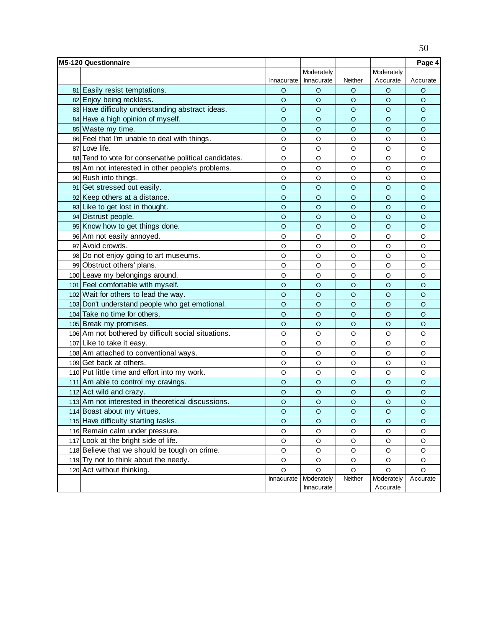| <b>M5-120 Questionnaire</b>                            |            |                          |         |                        | Page 4   |
|--------------------------------------------------------|------------|--------------------------|---------|------------------------|----------|
|                                                        |            | Moderately               |         | Moderately             |          |
|                                                        | Innacurate | Innacurate               | Neither | Accurate               | Accurate |
| 81 Easily resist temptations.                          | O          | O                        | O       | O                      | O        |
| 82 Enjoy being reckless.                               | O          | $\circ$                  | $\circ$ | $\circ$                | $\circ$  |
| 83 Have difficulty understanding abstract ideas.       | $\circ$    | $\circ$                  | $\circ$ | O                      | $\circ$  |
| 84 Have a high opinion of myself.                      | $\circ$    | $\circ$                  | $\circ$ | O                      | $\circ$  |
| 85 Waste my time.                                      | $\circ$    | $\circ$                  | $\circ$ | O                      | $\circ$  |
| 86 Feel that I'm unable to deal with things.           | O          | O                        | O       | O                      | $\circ$  |
| 87 Love life.                                          | $\circ$    | O                        | O       | O                      | O        |
| 88 Tend to vote for conservative political candidates. | O          | O                        | O       | O                      | $\circ$  |
| 89 Am not interested in other people's problems.       | O          | O                        | O       | O                      | $\circ$  |
| 90 Rush into things.                                   | $\circ$    | O                        | O       | O                      | O        |
| 91 Get stressed out easily.                            | $\circ$    | $\circ$                  | $\circ$ | $\circ$                | $\circ$  |
| 92 Keep others at a distance.                          | $\circ$    | $\circ$                  | $\circ$ | O                      | $\circ$  |
| 93 Like to get lost in thought.                        | $\circ$    | $\circ$                  | $\circ$ | $\circ$                | $\circ$  |
| 94 Distrust people.                                    | $\circ$    | $\circ$                  | $\circ$ | $\circ$                | $\circ$  |
| 95 Know how to get things done.                        | $\circ$    | $\circ$                  | $\circ$ | $\circ$                | $\circ$  |
| 96 Am not easily annoyed.                              | $\circ$    | $\circ$                  | $\circ$ | O                      | $\circ$  |
| 97 Avoid crowds.                                       | O          | $\circ$                  | $\circ$ | O                      | $\circ$  |
| 98 Do not enjoy going to art museums.                  | O          | O                        | O       | O                      | O        |
| 99 Obstruct others' plans.                             | O          | $\circ$                  | O       | O                      | $\circ$  |
| 100 Leave my belongings around.                        | $\circ$    | O                        | O       | O                      | $\circ$  |
| 101 Feel comfortable with myself.                      | $\circ$    | $\circ$                  | $\circ$ | $\circ$                | $\circ$  |
| 102 Wait for others to lead the way.                   | $\circ$    | $\circ$                  | $\circ$ | $\circ$                | $\circ$  |
| 103 Don't understand people who get emotional.         | $\circ$    | $\circ$                  | $\circ$ | $\circ$                | $\circ$  |
| 104 Take no time for others.                           | $\circ$    | $\circ$                  | $\circ$ | O                      | $\circ$  |
| 105 Break my promises.                                 | $\circ$    | $\circ$                  | $\circ$ | $\circ$                | $\circ$  |
| 106 Am not bothered by difficult social situations.    | O          | O                        | O       | O                      | O        |
| 107 Like to take it easy.                              | O          | O                        | $\circ$ | O                      | $\circ$  |
| 108 Am attached to conventional ways.                  | $\circ$    | O                        | O       | O                      | O        |
| 109 Get back at others.                                | $\circ$    | O                        | O       | O                      | O        |
| 110 Put little time and effort into my work.           | O          | O                        | O       | O                      | O        |
| 111 Am able to control my cravings.                    | $\circ$    | $\circ$                  | $\circ$ | $\circ$                | $\circ$  |
| 112 Act wild and crazy.                                | $\circ$    | $\circ$                  | $\circ$ | $\circ$                | $\circ$  |
| 113 Am not interested in theoretical discussions.      | $\circ$    | $\circ$                  | $\circ$ | $\circ$                | $\circ$  |
| 114 Boast about my virtues.                            | $\circ$    | O                        | $\circ$ | $\circ$                | $\circ$  |
| 115 Have difficulty starting tasks.                    | $\circ$    | $\circ$                  | $\circ$ | O                      | $\circ$  |
| 116 Remain calm under pressure.                        | O          | O                        | O       | O                      | O        |
| 117 Look at the bright side of life.                   | $\hbox{O}$ | $\circ$                  | O       | O                      | O        |
| 118 Believe that we should be tough on crime.          | $\hbox{O}$ | $\circ$                  | O       | O                      | $\circ$  |
| 119 Try not to think about the needy.                  | O          | O                        | O       | O                      | O        |
| 120 Act without thinking.                              | $\circ$    | $\circ$                  | O       | O                      | $\circ$  |
|                                                        | Innacurate | Moderately<br>Innacurate | Neither | Moderately<br>Accurate | Accurate |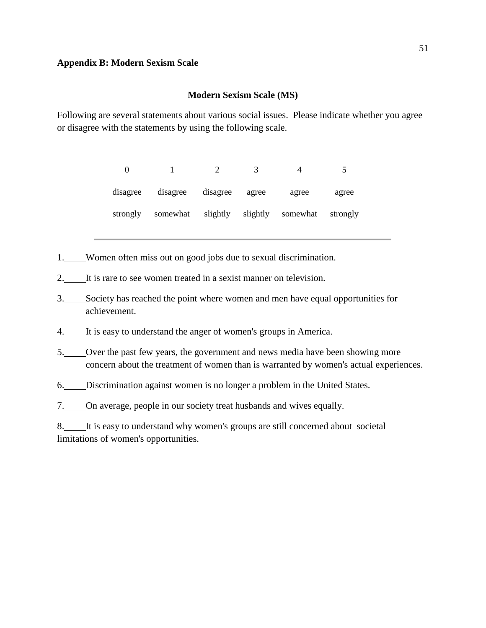## **Modern Sexism Scale (MS)**

<span id="page-50-0"></span>Following are several statements about various social issues. Please indicate whether you agree or disagree with the statements by using the following scale.

| 0        |          |          |          |          |          |
|----------|----------|----------|----------|----------|----------|
| disagree | disagree | disagree | agree    | agree    | agree    |
| strongly | somewhat | slightly | slightly | somewhat | strongly |

- 1. Women often miss out on good jobs due to sexual discrimination.
- 2. It is rare to see women treated in a sexist manner on television.
- 3. Society has reached the point where women and men have equal opportunities for achievement.
- 4. It is easy to understand the anger of women's groups in America.
- 5. Over the past few years, the government and news media have been showing more concern about the treatment of women than is warranted by women's actual experiences.
- 6. Discrimination against women is no longer a problem in the United States.
- 7. On average, people in our society treat husbands and wives equally.

<sup>8.</sup> It is easy to understand why women's groups are still concerned about societal limitations of women's opportunities.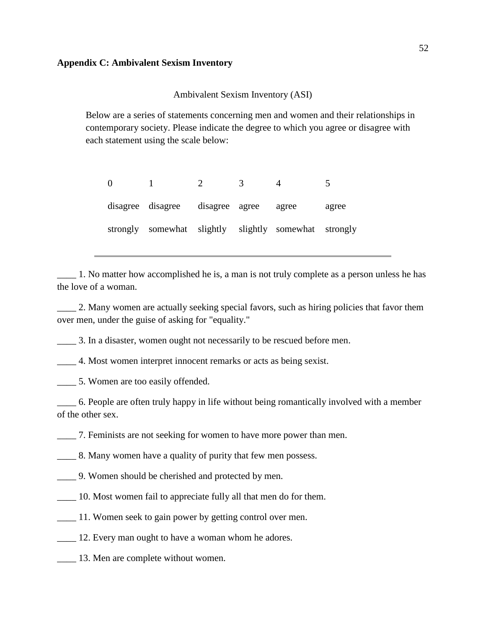Ambivalent Sexism Inventory (ASI)

<span id="page-51-0"></span>Below are a series of statements concerning men and women and their relationships in contemporary society. Please indicate the degree to which you agree or disagree with each statement using the scale below:

0 1 2 3 4 5 disagree disagree disagree agree agree agree strongly somewhat slightly slightly somewhat strongly

\_\_\_\_ 1. No matter how accomplished he is, a man is not truly complete as a person unless he has the love of a woman.

\_\_\_\_ 2. Many women are actually seeking special favors, such as hiring policies that favor them over men, under the guise of asking for "equality."

\_\_\_\_ 3. In a disaster, women ought not necessarily to be rescued before men.

\_\_\_\_ 4. Most women interpret innocent remarks or acts as being sexist.

\_\_\_\_ 5. Women are too easily offended.

\_\_\_\_ 6. People are often truly happy in life without being romantically involved with a member of the other sex.

\_\_\_\_ 7. Feminists are not seeking for women to have more power than men.

\_\_\_\_ 8. Many women have a quality of purity that few men possess.

- \_\_\_\_ 9. Women should be cherished and protected by men.
- \_\_\_\_ 10. Most women fail to appreciate fully all that men do for them.
- \_\_\_\_ 11. Women seek to gain power by getting control over men.
- 12. Every man ought to have a woman whom he adores.
- \_\_\_\_ 13. Men are complete without women.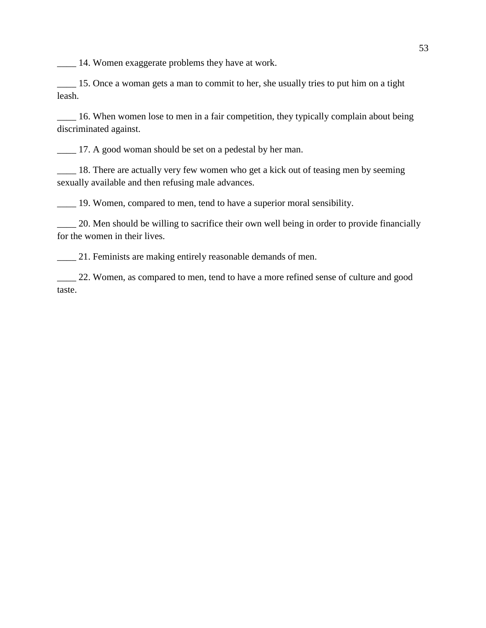\_\_\_\_ 14. Women exaggerate problems they have at work.

\_\_\_\_ 15. Once a woman gets a man to commit to her, she usually tries to put him on a tight leash.

\_\_\_\_ 16. When women lose to men in a fair competition, they typically complain about being discriminated against.

17. A good woman should be set on a pedestal by her man.

\_\_\_\_ 18. There are actually very few women who get a kick out of teasing men by seeming sexually available and then refusing male advances.

\_\_\_\_ 19. Women, compared to men, tend to have a superior moral sensibility.

20. Men should be willing to sacrifice their own well being in order to provide financially for the women in their lives.

\_\_\_\_ 21. Feminists are making entirely reasonable demands of men.

\_\_\_\_ 22. Women, as compared to men, tend to have a more refined sense of culture and good taste.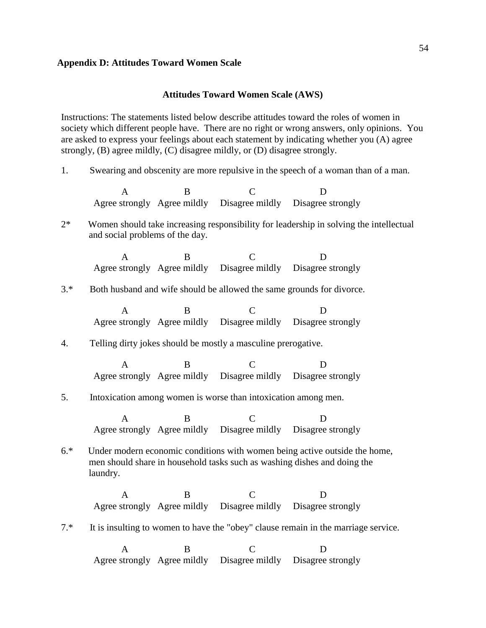## <span id="page-53-0"></span>**Appendix D: Attitudes Toward Women Scale**

#### **Attitudes Toward Women Scale (AWS)**

Instructions: The statements listed below describe attitudes toward the roles of women in society which different people have. There are no right or wrong answers, only opinions. You are asked to express your feelings about each statement by indicating whether you (A) agree strongly, (B) agree mildly, (C) disagree mildly, or (D) disagree strongly.

1. Swearing and obscenity are more repulsive in the speech of a woman than of a man.

A B C D Agree strongly Agree mildly Disagree mildly Disagree strongly

2\* Women should take increasing responsibility for leadership in solving the intellectual and social problems of the day.

A B C D Agree strongly Agree mildly Disagree mildly Disagree strongly

3.\* Both husband and wife should be allowed the same grounds for divorce.

A B C D Agree strongly Agree mildly Disagree mildly Disagree strongly

## 4. Telling dirty jokes should be mostly a masculine prerogative.

A B C D Agree strongly Agree mildly Disagree mildly Disagree strongly

## 5. Intoxication among women is worse than intoxication among men.

A B C D Agree strongly Agree mildly Disagree mildly Disagree strongly

# 6.\* Under modern economic conditions with women being active outside the home, men should share in household tasks such as washing dishes and doing the laundry.

A B C D Agree strongly Agree mildly Disagree mildly Disagree strongly

7.\* It is insulting to women to have the "obey" clause remain in the marriage service.

A B C D Agree strongly Agree mildly Disagree mildly Disagree strongly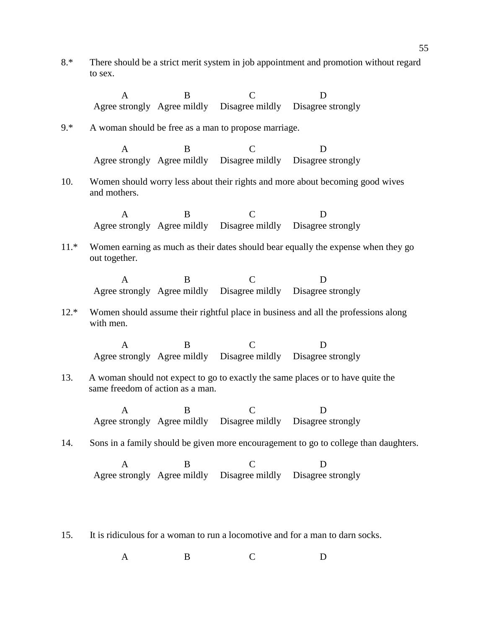8.\* There should be a strict merit system in job appointment and promotion without regard to sex.

|        | $\mathbf{A}$                                                                                                        | B            | $\mathcal{C}$                                        | D                                                                             |  |  |  |
|--------|---------------------------------------------------------------------------------------------------------------------|--------------|------------------------------------------------------|-------------------------------------------------------------------------------|--|--|--|
|        |                                                                                                                     |              |                                                      | Agree strongly Agree mildly Disagree mildly Disagree strongly                 |  |  |  |
| $9.*$  |                                                                                                                     |              | A woman should be free as a man to propose marriage. |                                                                               |  |  |  |
|        | $\mathsf{A}$                                                                                                        | <sub>R</sub> | $\overline{C}$                                       | D                                                                             |  |  |  |
|        |                                                                                                                     |              |                                                      | Agree strongly Agree mildly Disagree mildly Disagree strongly                 |  |  |  |
| 10.    | and mothers.                                                                                                        |              |                                                      | Women should worry less about their rights and more about becoming good wives |  |  |  |
|        | A                                                                                                                   | <sub>R</sub> | $\overline{C}$                                       | D                                                                             |  |  |  |
|        |                                                                                                                     |              |                                                      | Agree strongly Agree mildly Disagree mildly Disagree strongly                 |  |  |  |
| $11.*$ | Women earning as much as their dates should bear equally the expense when they go<br>out together.                  |              |                                                      |                                                                               |  |  |  |
|        | A                                                                                                                   | B            | $\mathcal{C}$                                        | D                                                                             |  |  |  |
|        |                                                                                                                     |              |                                                      | Agree strongly Agree mildly Disagree mildly Disagree strongly                 |  |  |  |
| $12.*$ | Women should assume their rightful place in business and all the professions along<br>with men.                     |              |                                                      |                                                                               |  |  |  |
|        | A                                                                                                                   | B            | $\mathsf{C}$                                         | D                                                                             |  |  |  |
|        |                                                                                                                     |              |                                                      | Agree strongly Agree mildly Disagree mildly Disagree strongly                 |  |  |  |
| 13.    | A woman should not expect to go to exactly the same places or to have quite the<br>same freedom of action as a man. |              |                                                      |                                                                               |  |  |  |
|        | A                                                                                                                   | B.           | $\subset$                                            | D                                                                             |  |  |  |
|        |                                                                                                                     |              |                                                      | Agree strongly Agree mildly Disagree mildly Disagree strongly                 |  |  |  |
| 14.    | Sons in a family should be given more encouragement to go to college than daughters.                                |              |                                                      |                                                                               |  |  |  |
|        | A                                                                                                                   | B            | C                                                    | D                                                                             |  |  |  |
|        |                                                                                                                     |              |                                                      | Agree strongly Agree mildly Disagree mildly Disagree strongly                 |  |  |  |
|        |                                                                                                                     |              |                                                      |                                                                               |  |  |  |

15. It is ridiculous for a woman to run a locomotive and for a man to darn socks.

A B C D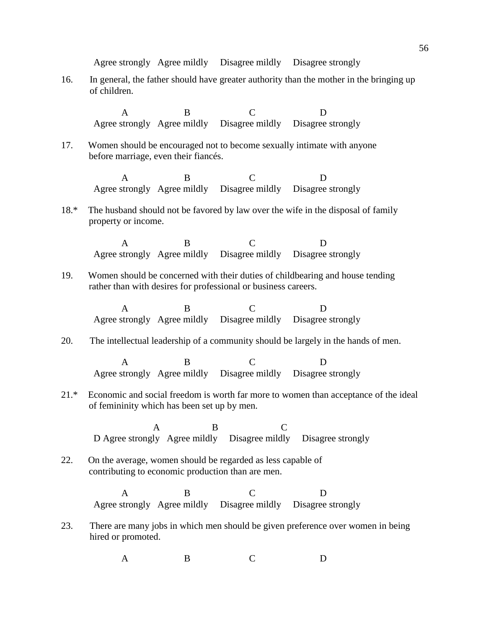Agree strongly Agree mildly Disagree mildly Disagree strongly

16. In general, the father should have greater authority than the mother in the bringing up of children.

A B C D Agree strongly Agree mildly Disagree mildly Disagree strongly 17. Women should be encouraged not to become sexually intimate with anyone before marriage, even their fiancés. A B C D Agree strongly Agree mildly Disagree mildly Disagree strongly 18.\* The husband should not be favored by law over the wife in the disposal of family property or income. A B C D Agree strongly Agree mildly Disagree mildly Disagree strongly 19. Women should be concerned with their duties of childbearing and house tending rather than with desires for professional or business careers. A B C D Agree strongly Agree mildly Disagree mildly Disagree strongly 20. The intellectual leadership of a community should be largely in the hands of men. A B C D Agree strongly Agree mildly Disagree mildly Disagree strongly 21.\* Economic and social freedom is worth far more to women than acceptance of the ideal of femininity which has been set up by men. A B C D Agree strongly Agree mildly Disagree mildly Disagree strongly 22. On the average, women should be regarded as less capable of contributing to economic production than are men. A B C D Agree strongly Agree mildly Disagree mildly Disagree strongly 23. There are many jobs in which men should be given preference over women in being hired or promoted.

A B C D